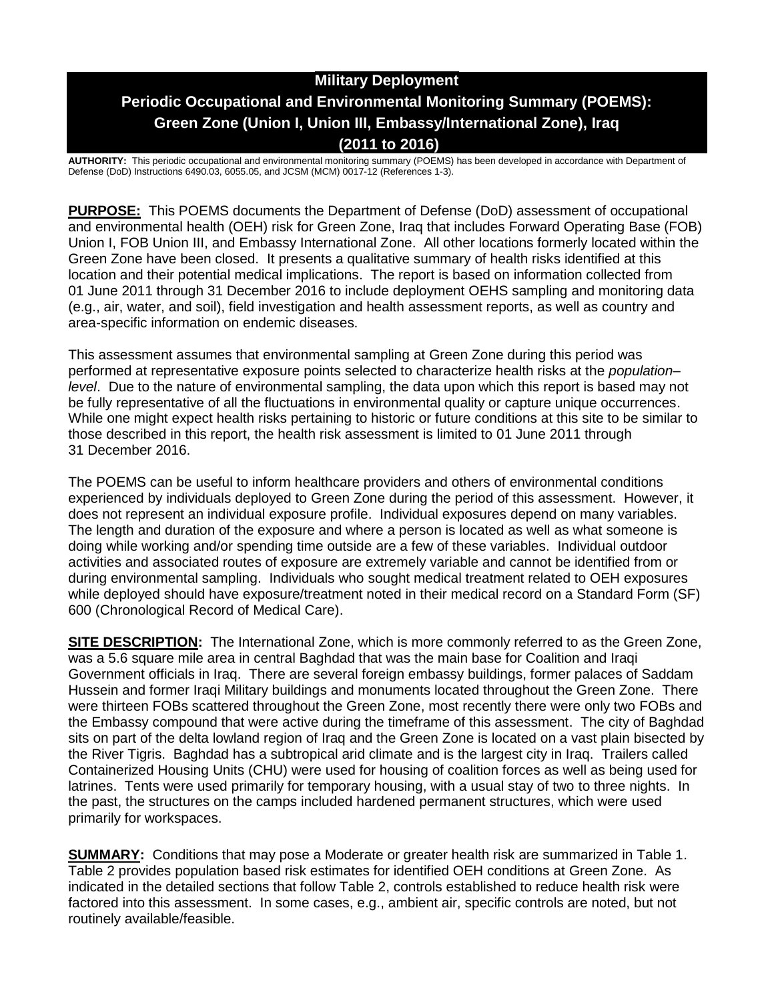# **Military Deployment Periodic Occupational and Environmental Monitoring Summary (POEMS): Green Zone (Union I, Union III, Embassy/International Zone), Iraq (2011 to 2016)**

**AUTHORITY:** This periodic occupational and environmental monitoring summary (POEMS) has been developed in accordance with Department of Defense (DoD) Instructions 6490.03, 6055.05, and JCSM (MCM) 0017-12 (References 1-3).

**PURPOSE:** This POEMS documents the Department of Defense (DoD) assessment of occupational and environmental health (OEH) risk for Green Zone, Iraq that includes Forward Operating Base (FOB) Union I, FOB Union III, and Embassy International Zone. All other locations formerly located within the Green Zone have been closed. It presents a qualitative summary of health risks identified at this location and their potential medical implications. The report is based on information collected from 01 June 2011 through 31 December 2016 to include deployment OEHS sampling and monitoring data (e.g., air, water, and soil), field investigation and health assessment reports, as well as country and area-specific information on endemic diseases.

This assessment assumes that environmental sampling at Green Zone during this period was performed at representative exposure points selected to characterize health risks at the *population– level*. Due to the nature of environmental sampling, the data upon which this report is based may not be fully representative of all the fluctuations in environmental quality or capture unique occurrences. While one might expect health risks pertaining to historic or future conditions at this site to be similar to those described in this report, the health risk assessment is limited to 01 June 2011 through 31 December 2016.

The POEMS can be useful to inform healthcare providers and others of environmental conditions experienced by individuals deployed to Green Zone during the period of this assessment. However, it does not represent an individual exposure profile. Individual exposures depend on many variables. The length and duration of the exposure and where a person is located as well as what someone is doing while working and/or spending time outside are a few of these variables. Individual outdoor activities and associated routes of exposure are extremely variable and cannot be identified from or during environmental sampling. Individuals who sought medical treatment related to OEH exposures while deployed should have exposure/treatment noted in their medical record on a Standard Form (SF) 600 (Chronological Record of Medical Care).

**SITE DESCRIPTION:** The International Zone, which is more commonly referred to as the Green Zone, was a 5.6 square mile area in central Baghdad that was the main base for Coalition and Iraqi Government officials in Iraq. There are several foreign embassy buildings, former palaces of Saddam Hussein and former Iraqi Military buildings and monuments located throughout the Green Zone. There were thirteen FOBs scattered throughout the Green Zone, most recently there were only two FOBs and the Embassy compound that were active during the timeframe of this assessment. The city of Baghdad sits on part of the delta lowland region of Iraq and the Green Zone is located on a vast plain bisected by the River Tigris. Baghdad has a subtropical arid climate and is the largest city in Iraq. Trailers called Containerized Housing Units (CHU) were used for housing of coalition forces as well as being used for latrines. Tents were used primarily for temporary housing, with a usual stay of two to three nights. In the past, the structures on the camps included hardened permanent structures, which were used primarily for workspaces.

**SUMMARY:** Conditions that may pose a Moderate or greater health risk are summarized in Table 1. Table 2 provides population based risk estimates for identified OEH conditions at Green Zone. As indicated in the detailed sections that follow Table 2, controls established to reduce health risk were factored into this assessment. In some cases, e.g., ambient air, specific controls are noted, but not routinely available/feasible.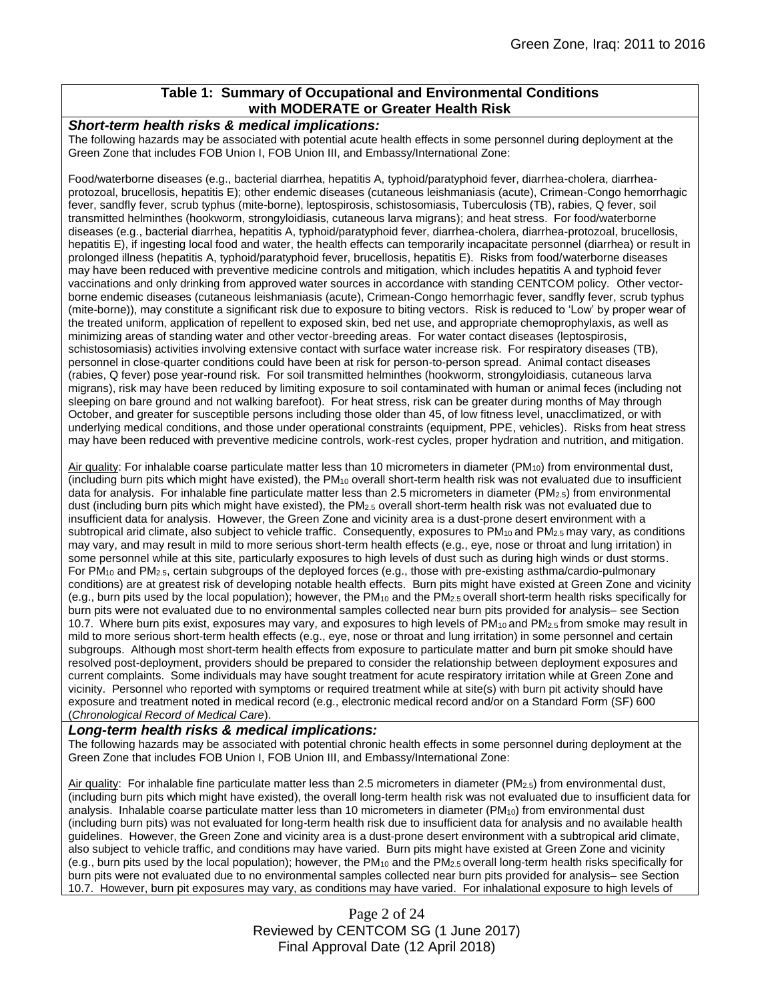## **Table 1: Summary of Occupational and Environmental Conditions with MODERATE or Greater Health Risk**

#### *Short-term health risks & medical implications:*

The following hazards may be associated with potential acute health effects in some personnel during deployment at the Green Zone that includes FOB Union I, FOB Union III, and Embassy/International Zone:

Food/waterborne diseases (e.g., bacterial diarrhea, hepatitis A, typhoid/paratyphoid fever, diarrhea-cholera, diarrheaprotozoal, brucellosis, hepatitis E); other endemic diseases (cutaneous leishmaniasis (acute), Crimean-Congo hemorrhagic fever, sandfly fever, scrub typhus (mite-borne), leptospirosis, schistosomiasis, Tuberculosis (TB), rabies, Q fever, soil transmitted helminthes (hookworm, strongyloidiasis, cutaneous larva migrans); and heat stress. For food/waterborne diseases (e.g., bacterial diarrhea, hepatitis A, typhoid/paratyphoid fever, diarrhea-cholera, diarrhea-protozoal, brucellosis, hepatitis E), if ingesting local food and water, the health effects can temporarily incapacitate personnel (diarrhea) or result in prolonged illness (hepatitis A, typhoid/paratyphoid fever, brucellosis, hepatitis E). Risks from food/waterborne diseases may have been reduced with preventive medicine controls and mitigation, which includes hepatitis A and typhoid fever vaccinations and only drinking from approved water sources in accordance with standing CENTCOM policy. Other vectorborne endemic diseases (cutaneous leishmaniasis (acute), Crimean-Congo hemorrhagic fever, sandfly fever, scrub typhus (mite-borne)), may constitute a significant risk due to exposure to biting vectors. Risk is reduced to 'Low' by proper wear of the treated uniform, application of repellent to exposed skin, bed net use, and appropriate chemoprophylaxis, as well as minimizing areas of standing water and other vector-breeding areas. For water contact diseases (leptospirosis, schistosomiasis) activities involving extensive contact with surface water increase risk. For respiratory diseases (TB), personnel in close-quarter conditions could have been at risk for person-to-person spread. Animal contact diseases (rabies, Q fever) pose year-round risk. For soil transmitted helminthes (hookworm, strongyloidiasis, cutaneous larva migrans), risk may have been reduced by limiting exposure to soil contaminated with human or animal feces (including not sleeping on bare ground and not walking barefoot). For heat stress, risk can be greater during months of May through October, and greater for susceptible persons including those older than 45, of low fitness level, unacclimatized, or with underlying medical conditions, and those under operational constraints (equipment, PPE, vehicles). Risks from heat stress may have been reduced with preventive medicine controls, work-rest cycles, proper hydration and nutrition, and mitigation.

Air quality: For inhalable coarse particulate matter less than 10 micrometers in diameter (PM<sub>10</sub>) from environmental dust, (including burn pits which might have existed), the PM $_{10}$  overall short-term health risk was not evaluated due to insufficient data for analysis. For inhalable fine particulate matter less than 2.5 micrometers in diameter ( $PM_{2.5}$ ) from environmental dust (including burn pits which might have existed), the PM2.5 overall short-term health risk was not evaluated due to insufficient data for analysis. However, the Green Zone and vicinity area is a dust-prone desert environment with a subtropical arid climate, also subject to vehicle traffic. Consequently, exposures to PM<sub>10</sub> and PM<sub>2.5</sub> may vary, as conditions may vary, and may result in mild to more serious short-term health effects (e.g., eye, nose or throat and lung irritation) in some personnel while at this site, particularly exposures to high levels of dust such as during high winds or dust storms. For PM<sup>10</sup> and PM2.5, certain subgroups of the deployed forces (e.g., those with pre-existing asthma/cardio-pulmonary conditions) are at greatest risk of developing notable health effects. Burn pits might have existed at Green Zone and vicinity (e.g., burn pits used by the local population); however, the PM $_{10}$  and the PM $_{2.5}$  overall short-term health risks specifically for burn pits were not evaluated due to no environmental samples collected near burn pits provided for analysis– see Section 10.7. Where burn pits exist, exposures may vary, and exposures to high levels of  $PM_{10}$  and  $PM_{2.5}$  from smoke may result in mild to more serious short-term health effects (e.g., eye, nose or throat and lung irritation) in some personnel and certain subgroups. Although most short-term health effects from exposure to particulate matter and burn pit smoke should have resolved post-deployment, providers should be prepared to consider the relationship between deployment exposures and current complaints. Some individuals may have sought treatment for acute respiratory irritation while at Green Zone and vicinity. Personnel who reported with symptoms or required treatment while at site(s) with burn pit activity should have exposure and treatment noted in medical record (e.g., electronic medical record and/or on a Standard Form (SF) 600 (*Chronological Record of Medical Care*).

#### *Long-term health risks & medical implications:*

The following hazards may be associated with potential chronic health effects in some personnel during deployment at the Green Zone that includes FOB Union I, FOB Union III, and Embassy/International Zone:

Air quality: For inhalable fine particulate matter less than 2.5 micrometers in diameter (PM2.5) from environmental dust, (including burn pits which might have existed), the overall long-term health risk was not evaluated due to insufficient data for analysis. Inhalable coarse particulate matter less than 10 micrometers in diameter ( $PM_{10}$ ) from environmental dust (including burn pits) was not evaluated for long-term health risk due to insufficient data for analysis and no available health guidelines. However, the Green Zone and vicinity area is a dust-prone desert environment with a subtropical arid climate, also subject to vehicle traffic, and conditions may have varied. Burn pits might have existed at Green Zone and vicinity (e.g., burn pits used by the local population); however, the PM<sub>10</sub> and the PM<sub>2.5</sub> overall long-term health risks specifically for burn pits were not evaluated due to no environmental samples collected near burn pits provided for analysis– see Section 10.7. However, burn pit exposures may vary, as conditions may have varied. For inhalational exposure to high levels of

> Page 2 of 24 Reviewed by CENTCOM SG (1 June 2017) Final Approval Date (12 April 2018)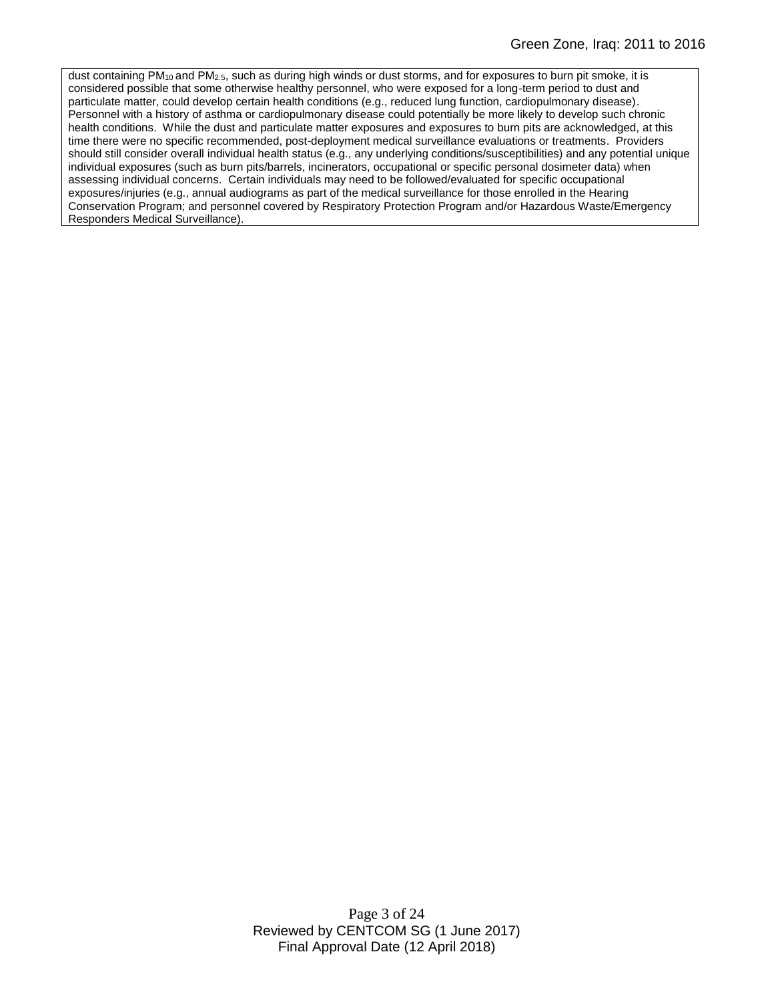dust containing PM<sub>10</sub> and PM<sub>2.5</sub>, such as during high winds or dust storms, and for exposures to burn pit smoke, it is considered possible that some otherwise healthy personnel, who were exposed for a long-term period to dust and particulate matter, could develop certain health conditions (e.g., reduced lung function, cardiopulmonary disease). Personnel with a history of asthma or cardiopulmonary disease could potentially be more likely to develop such chronic health conditions. While the dust and particulate matter exposures and exposures to burn pits are acknowledged, at this time there were no specific recommended, post-deployment medical surveillance evaluations or treatments. Providers should still consider overall individual health status (e.g., any underlying conditions/susceptibilities) and any potential unique individual exposures (such as burn pits/barrels, incinerators, occupational or specific personal dosimeter data) when assessing individual concerns. Certain individuals may need to be followed/evaluated for specific occupational exposures/injuries (e.g., annual audiograms as part of the medical surveillance for those enrolled in the Hearing Conservation Program; and personnel covered by Respiratory Protection Program and/or Hazardous Waste/Emergency Responders Medical Surveillance).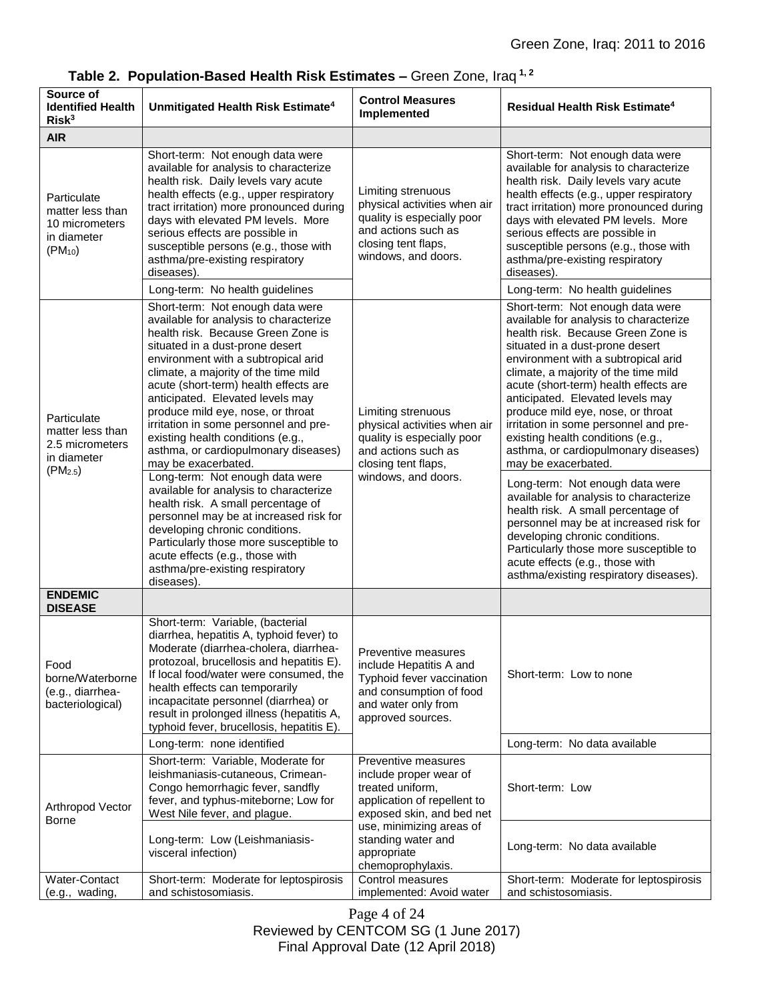| Source of<br><b>Identified Health</b><br>Risk <sup>3</sup>                                | Unmitigated Health Risk Estimate <sup>4</sup>                                                                                                                                                                                                                                                                                                                                                                                                                                                                                                                                                                                                                                                                                                                                                                                  | <b>Control Measures</b><br>Implemented                                                                                                                | <b>Residual Health Risk Estimate<sup>4</sup></b>                                                                                                                                                                                                                                                                                                                                                                                                                                                                                                                                                                                                                                                                                                                                                                        |
|-------------------------------------------------------------------------------------------|--------------------------------------------------------------------------------------------------------------------------------------------------------------------------------------------------------------------------------------------------------------------------------------------------------------------------------------------------------------------------------------------------------------------------------------------------------------------------------------------------------------------------------------------------------------------------------------------------------------------------------------------------------------------------------------------------------------------------------------------------------------------------------------------------------------------------------|-------------------------------------------------------------------------------------------------------------------------------------------------------|-------------------------------------------------------------------------------------------------------------------------------------------------------------------------------------------------------------------------------------------------------------------------------------------------------------------------------------------------------------------------------------------------------------------------------------------------------------------------------------------------------------------------------------------------------------------------------------------------------------------------------------------------------------------------------------------------------------------------------------------------------------------------------------------------------------------------|
| <b>AIR</b>                                                                                |                                                                                                                                                                                                                                                                                                                                                                                                                                                                                                                                                                                                                                                                                                                                                                                                                                |                                                                                                                                                       |                                                                                                                                                                                                                                                                                                                                                                                                                                                                                                                                                                                                                                                                                                                                                                                                                         |
| Particulate<br>matter less than<br>10 micrometers<br>in diameter<br>$(PM_{10})$           | Short-term: Not enough data were<br>available for analysis to characterize<br>health risk. Daily levels vary acute<br>health effects (e.g., upper respiratory<br>tract irritation) more pronounced during<br>days with elevated PM levels. More<br>serious effects are possible in<br>susceptible persons (e.g., those with<br>asthma/pre-existing respiratory<br>diseases).                                                                                                                                                                                                                                                                                                                                                                                                                                                   | Limiting strenuous<br>physical activities when air<br>quality is especially poor<br>and actions such as<br>closing tent flaps,<br>windows, and doors. | Short-term: Not enough data were<br>available for analysis to characterize<br>health risk. Daily levels vary acute<br>health effects (e.g., upper respiratory<br>tract irritation) more pronounced during<br>days with elevated PM levels. More<br>serious effects are possible in<br>susceptible persons (e.g., those with<br>asthma/pre-existing respiratory<br>diseases)                                                                                                                                                                                                                                                                                                                                                                                                                                             |
|                                                                                           | Long-term: No health guidelines                                                                                                                                                                                                                                                                                                                                                                                                                                                                                                                                                                                                                                                                                                                                                                                                |                                                                                                                                                       | Long-term: No health guidelines                                                                                                                                                                                                                                                                                                                                                                                                                                                                                                                                                                                                                                                                                                                                                                                         |
| Particulate<br>matter less than<br>2.5 micrometers<br>in diameter<br>(PM <sub>2.5</sub> ) | Short-term: Not enough data were<br>available for analysis to characterize<br>health risk. Because Green Zone is<br>situated in a dust-prone desert<br>environment with a subtropical arid<br>climate, a majority of the time mild<br>acute (short-term) health effects are<br>anticipated. Elevated levels may<br>produce mild eye, nose, or throat<br>irritation in some personnel and pre-<br>existing health conditions (e.g.,<br>asthma, or cardiopulmonary diseases)<br>may be exacerbated.<br>Long-term: Not enough data were<br>available for analysis to characterize<br>health risk. A small percentage of<br>personnel may be at increased risk for<br>developing chronic conditions.<br>Particularly those more susceptible to<br>acute effects (e.g., those with<br>asthma/pre-existing respiratory<br>diseases). | Limiting strenuous<br>physical activities when air<br>quality is especially poor<br>and actions such as<br>closing tent flaps,<br>windows, and doors. | Short-term: Not enough data were<br>available for analysis to characterize<br>health risk. Because Green Zone is<br>situated in a dust-prone desert<br>environment with a subtropical arid<br>climate, a majority of the time mild<br>acute (short-term) health effects are<br>anticipated. Elevated levels may<br>produce mild eye, nose, or throat<br>irritation in some personnel and pre-<br>existing health conditions (e.g.,<br>asthma, or cardiopulmonary diseases)<br>may be exacerbated.<br>Long-term: Not enough data were<br>available for analysis to characterize<br>health risk. A small percentage of<br>personnel may be at increased risk for<br>developing chronic conditions.<br>Particularly those more susceptible to<br>acute effects (e.g., those with<br>asthma/existing respiratory diseases). |
| <b>ENDEMIC</b><br><b>DISEASE</b>                                                          |                                                                                                                                                                                                                                                                                                                                                                                                                                                                                                                                                                                                                                                                                                                                                                                                                                |                                                                                                                                                       |                                                                                                                                                                                                                                                                                                                                                                                                                                                                                                                                                                                                                                                                                                                                                                                                                         |
| Food<br>borne/Waterborne<br>(e.g., diarrhea-<br>bacteriological)                          | Short-term: Variable, (bacterial<br>diarrhea, hepatitis A, typhoid fever) to<br>Moderate (diarrhea-cholera, diarrhea-<br>protozoal, brucellosis and hepatitis E).<br>If local food/water were consumed, the<br>health effects can temporarily<br>incapacitate personnel (diarrhea) or<br>result in prolonged illness (hepatitis A,<br>typhoid fever, brucellosis, hepatitis E).                                                                                                                                                                                                                                                                                                                                                                                                                                                | Preventive measures<br>include Hepatitis A and<br>Typhoid fever vaccination<br>and consumption of food<br>and water only from<br>approved sources.    | Short-term: Low to none                                                                                                                                                                                                                                                                                                                                                                                                                                                                                                                                                                                                                                                                                                                                                                                                 |
|                                                                                           | Long-term: none identified                                                                                                                                                                                                                                                                                                                                                                                                                                                                                                                                                                                                                                                                                                                                                                                                     |                                                                                                                                                       | Long-term: No data available                                                                                                                                                                                                                                                                                                                                                                                                                                                                                                                                                                                                                                                                                                                                                                                            |
| Arthropod Vector<br>Borne                                                                 | Short-term: Variable, Moderate for<br>leishmaniasis-cutaneous, Crimean-<br>Congo hemorrhagic fever, sandfly<br>fever, and typhus-miteborne; Low for<br>West Nile fever, and plague.                                                                                                                                                                                                                                                                                                                                                                                                                                                                                                                                                                                                                                            | Preventive measures<br>include proper wear of<br>treated uniform,<br>application of repellent to<br>exposed skin, and bed net                         | Short-term: Low                                                                                                                                                                                                                                                                                                                                                                                                                                                                                                                                                                                                                                                                                                                                                                                                         |
|                                                                                           | Long-term: Low (Leishmaniasis-<br>visceral infection)                                                                                                                                                                                                                                                                                                                                                                                                                                                                                                                                                                                                                                                                                                                                                                          | use, minimizing areas of<br>standing water and<br>appropriate<br>chemoprophylaxis.                                                                    | Long-term: No data available                                                                                                                                                                                                                                                                                                                                                                                                                                                                                                                                                                                                                                                                                                                                                                                            |
| Water-Contact<br>(e.g., wading,                                                           | Short-term: Moderate for leptospirosis<br>and schistosomiasis.                                                                                                                                                                                                                                                                                                                                                                                                                                                                                                                                                                                                                                                                                                                                                                 | Control measures<br>implemented: Avoid water                                                                                                          | Short-term: Moderate for leptospirosis<br>and schistosomiasis.                                                                                                                                                                                                                                                                                                                                                                                                                                                                                                                                                                                                                                                                                                                                                          |

**Table 2. Population-Based Health Risk Estimates –** Green Zone, Iraq **1, 2**

Page 4 of 24 Reviewed by CENTCOM SG (1 June 2017) Final Approval Date (12 April 2018)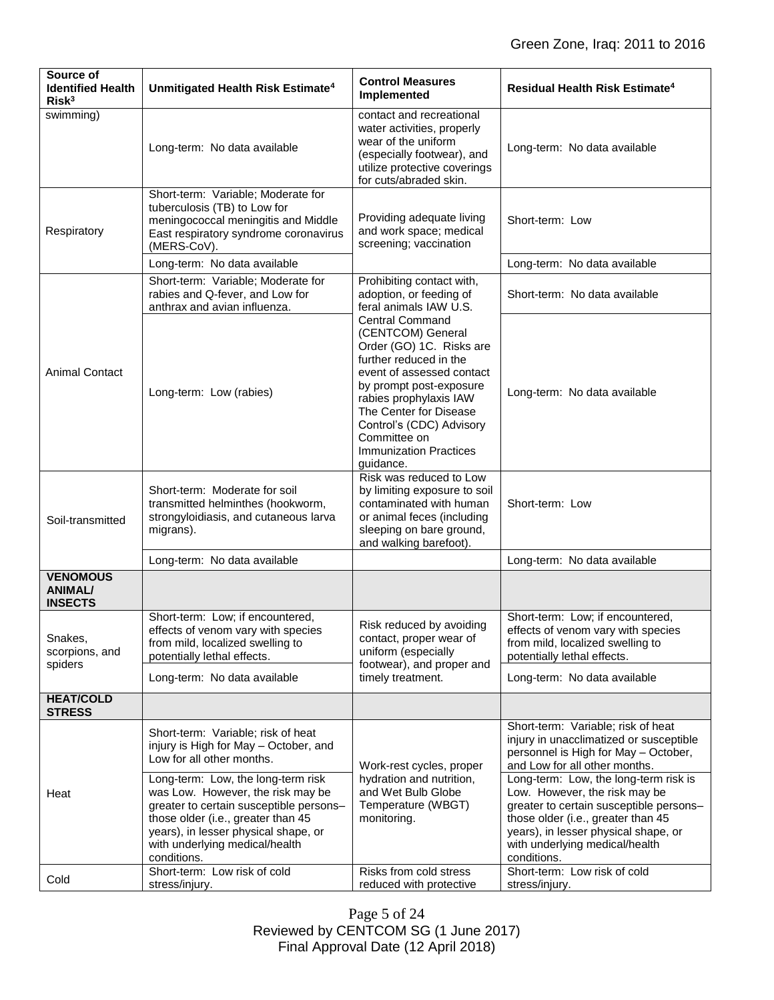| Source of<br><b>Identified Health</b><br>Risk <sup>3</sup> | Unmitigated Health Risk Estimate <sup>4</sup>                                                                                                                                                                                                                                                                                                                 | <b>Control Measures</b><br>Implemented                                                                                                                                                                                                                                                                  | Residual Health Risk Estimate <sup>4</sup>                                                                                                                                                                                                                                                                                                                                                                 |
|------------------------------------------------------------|---------------------------------------------------------------------------------------------------------------------------------------------------------------------------------------------------------------------------------------------------------------------------------------------------------------------------------------------------------------|---------------------------------------------------------------------------------------------------------------------------------------------------------------------------------------------------------------------------------------------------------------------------------------------------------|------------------------------------------------------------------------------------------------------------------------------------------------------------------------------------------------------------------------------------------------------------------------------------------------------------------------------------------------------------------------------------------------------------|
| swimming)                                                  | Long-term: No data available                                                                                                                                                                                                                                                                                                                                  | contact and recreational<br>water activities, properly<br>wear of the uniform<br>(especially footwear), and<br>utilize protective coverings<br>for cuts/abraded skin.                                                                                                                                   | Long-term: No data available                                                                                                                                                                                                                                                                                                                                                                               |
| Respiratory                                                | Short-term: Variable; Moderate for<br>tuberculosis (TB) to Low for<br>meningococcal meningitis and Middle<br>East respiratory syndrome coronavirus<br>(MERS-CoV).                                                                                                                                                                                             | Providing adequate living<br>and work space; medical<br>screening; vaccination                                                                                                                                                                                                                          | Short-term: Low                                                                                                                                                                                                                                                                                                                                                                                            |
|                                                            | Long-term: No data available                                                                                                                                                                                                                                                                                                                                  |                                                                                                                                                                                                                                                                                                         | Long-term: No data available                                                                                                                                                                                                                                                                                                                                                                               |
| <b>Animal Contact</b>                                      | Short-term: Variable; Moderate for<br>rabies and Q-fever, and Low for<br>anthrax and avian influenza.                                                                                                                                                                                                                                                         | Prohibiting contact with,<br>adoption, or feeding of<br>feral animals IAW U.S.                                                                                                                                                                                                                          | Short-term: No data available                                                                                                                                                                                                                                                                                                                                                                              |
|                                                            | Long-term: Low (rabies)                                                                                                                                                                                                                                                                                                                                       | <b>Central Command</b><br>(CENTCOM) General<br>Order (GO) 1C. Risks are<br>further reduced in the<br>event of assessed contact<br>by prompt post-exposure<br>rabies prophylaxis IAW<br>The Center for Disease<br>Control's (CDC) Advisory<br>Committee on<br><b>Immunization Practices</b><br>guidance. | Long-term: No data available                                                                                                                                                                                                                                                                                                                                                                               |
| Soil-transmitted                                           | Short-term: Moderate for soil<br>transmitted helminthes (hookworm,<br>strongyloidiasis, and cutaneous larva<br>migrans).                                                                                                                                                                                                                                      | Risk was reduced to Low<br>by limiting exposure to soil<br>contaminated with human<br>or animal feces (including<br>sleeping on bare ground,<br>and walking barefoot).                                                                                                                                  | Short-term: Low                                                                                                                                                                                                                                                                                                                                                                                            |
|                                                            | Long-term: No data available                                                                                                                                                                                                                                                                                                                                  |                                                                                                                                                                                                                                                                                                         | Long-term: No data available                                                                                                                                                                                                                                                                                                                                                                               |
| <b>VENOMOUS</b><br><b>ANIMAL/</b><br><b>INSECTS</b>        |                                                                                                                                                                                                                                                                                                                                                               |                                                                                                                                                                                                                                                                                                         |                                                                                                                                                                                                                                                                                                                                                                                                            |
| Snakes,<br>scorpions, and                                  | Short-term: Low; if encountered,<br>effects of venom vary with species<br>from mild, localized swelling to<br>potentially lethal effects.                                                                                                                                                                                                                     | Risk reduced by avoiding<br>contact, proper wear of<br>uniform (especially<br>footwear), and proper and<br>timely treatment.                                                                                                                                                                            | Short-term: Low; if encountered,<br>effects of venom vary with species<br>from mild, localized swelling to<br>potentially lethal effects.                                                                                                                                                                                                                                                                  |
| spiders                                                    | Long-term: No data available                                                                                                                                                                                                                                                                                                                                  |                                                                                                                                                                                                                                                                                                         | Long-term: No data available                                                                                                                                                                                                                                                                                                                                                                               |
| <b>HEAT/COLD</b><br><b>STRESS</b>                          |                                                                                                                                                                                                                                                                                                                                                               |                                                                                                                                                                                                                                                                                                         |                                                                                                                                                                                                                                                                                                                                                                                                            |
| Heat                                                       | Short-term: Variable; risk of heat<br>injury is High for May - October, and<br>Low for all other months.<br>Long-term: Low, the long-term risk<br>was Low. However, the risk may be<br>greater to certain susceptible persons-<br>those older (i.e., greater than 45<br>years), in lesser physical shape, or<br>with underlying medical/health<br>conditions. | Work-rest cycles, proper<br>hydration and nutrition,<br>and Wet Bulb Globe<br>Temperature (WBGT)<br>monitoring.                                                                                                                                                                                         | Short-term: Variable; risk of heat<br>injury in unacclimatized or susceptible<br>personnel is High for May - October,<br>and Low for all other months.<br>Long-term: Low, the long-term risk is<br>Low. However, the risk may be<br>greater to certain susceptible persons-<br>those older (i.e., greater than 45<br>years), in lesser physical shape, or<br>with underlying medical/health<br>conditions. |
| Cold                                                       | Short-term: Low risk of cold<br>stress/injury.                                                                                                                                                                                                                                                                                                                | Risks from cold stress<br>reduced with protective                                                                                                                                                                                                                                                       | Short-term: Low risk of cold<br>stress/injury.                                                                                                                                                                                                                                                                                                                                                             |

Page 5 of 24 Reviewed by CENTCOM SG (1 June 2017) Final Approval Date (12 April 2018)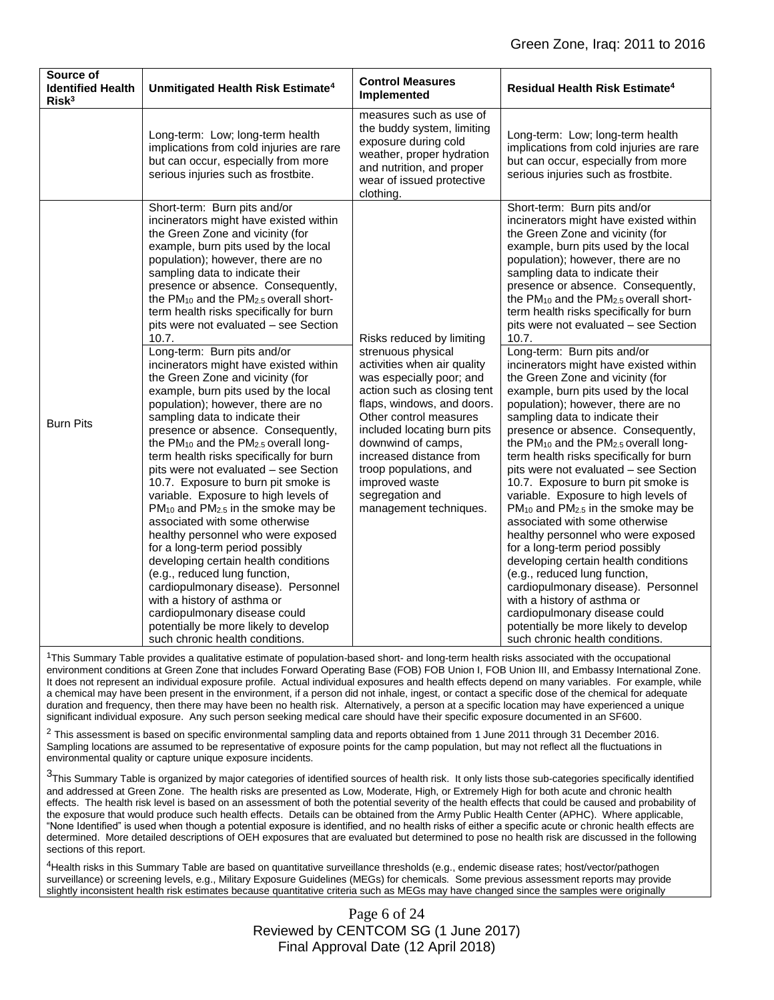| Source of<br><b>Identified Health</b><br>Risk <sup>3</sup> | Unmitigated Health Risk Estimate <sup>4</sup>                                                                                                                                                                                                                                                                                                                                                                                                                                                                                                                                                                                                                                                                                                                                                                                                                                                                                                                                                                                                                                                                                                                                                                                                                                                                | <b>Control Measures</b><br>Implemented                                                                                                                                                                                                                                                                                                                                     | <b>Residual Health Risk Estimate<sup>4</sup></b>                                                                                                                                                                                                                                                                                                                                                                                                                                                                                                                                                                                                                                                                                                                                                                                                                                                                                                                                                                                                                                                                                                                                                                                                                                                             |
|------------------------------------------------------------|--------------------------------------------------------------------------------------------------------------------------------------------------------------------------------------------------------------------------------------------------------------------------------------------------------------------------------------------------------------------------------------------------------------------------------------------------------------------------------------------------------------------------------------------------------------------------------------------------------------------------------------------------------------------------------------------------------------------------------------------------------------------------------------------------------------------------------------------------------------------------------------------------------------------------------------------------------------------------------------------------------------------------------------------------------------------------------------------------------------------------------------------------------------------------------------------------------------------------------------------------------------------------------------------------------------|----------------------------------------------------------------------------------------------------------------------------------------------------------------------------------------------------------------------------------------------------------------------------------------------------------------------------------------------------------------------------|--------------------------------------------------------------------------------------------------------------------------------------------------------------------------------------------------------------------------------------------------------------------------------------------------------------------------------------------------------------------------------------------------------------------------------------------------------------------------------------------------------------------------------------------------------------------------------------------------------------------------------------------------------------------------------------------------------------------------------------------------------------------------------------------------------------------------------------------------------------------------------------------------------------------------------------------------------------------------------------------------------------------------------------------------------------------------------------------------------------------------------------------------------------------------------------------------------------------------------------------------------------------------------------------------------------|
|                                                            | Long-term: Low; long-term health<br>implications from cold injuries are rare<br>but can occur, especially from more<br>serious injuries such as frostbite.                                                                                                                                                                                                                                                                                                                                                                                                                                                                                                                                                                                                                                                                                                                                                                                                                                                                                                                                                                                                                                                                                                                                                   | measures such as use of<br>the buddy system, limiting<br>exposure during cold<br>weather, proper hydration<br>and nutrition, and proper<br>wear of issued protective<br>clothing.                                                                                                                                                                                          | Long-term: Low; long-term health<br>implications from cold injuries are rare<br>but can occur, especially from more<br>serious injuries such as frostbite.                                                                                                                                                                                                                                                                                                                                                                                                                                                                                                                                                                                                                                                                                                                                                                                                                                                                                                                                                                                                                                                                                                                                                   |
| <b>Burn Pits</b>                                           | Short-term: Burn pits and/or<br>incinerators might have existed within<br>the Green Zone and vicinity (for<br>example, burn pits used by the local<br>population); however, there are no<br>sampling data to indicate their<br>presence or absence. Consequently,<br>the PM <sub>10</sub> and the PM <sub>2.5</sub> overall short-<br>term health risks specifically for burn<br>pits were not evaluated - see Section<br>10.7.<br>Long-term: Burn pits and/or<br>incinerators might have existed within<br>the Green Zone and vicinity (for<br>example, burn pits used by the local<br>population); however, there are no<br>sampling data to indicate their<br>presence or absence. Consequently,<br>the $PM_{10}$ and the $PM_{2.5}$ overall long-<br>term health risks specifically for burn<br>pits were not evaluated - see Section<br>10.7. Exposure to burn pit smoke is<br>variable. Exposure to high levels of<br>$PM_{10}$ and $PM_{2.5}$ in the smoke may be<br>associated with some otherwise<br>healthy personnel who were exposed<br>for a long-term period possibly<br>developing certain health conditions<br>(e.g., reduced lung function,<br>cardiopulmonary disease). Personnel<br>with a history of asthma or<br>cardiopulmonary disease could<br>potentially be more likely to develop | Risks reduced by limiting<br>strenuous physical<br>activities when air quality<br>was especially poor; and<br>action such as closing tent<br>flaps, windows, and doors.<br>Other control measures<br>included locating burn pits<br>downwind of camps.<br>increased distance from<br>troop populations, and<br>improved waste<br>segregation and<br>management techniques. | Short-term: Burn pits and/or<br>incinerators might have existed within<br>the Green Zone and vicinity (for<br>example, burn pits used by the local<br>population); however, there are no<br>sampling data to indicate their<br>presence or absence. Consequently,<br>the PM <sub>10</sub> and the PM <sub>2.5</sub> overall short-<br>term health risks specifically for burn<br>pits were not evaluated - see Section<br>10.7.<br>Long-term: Burn pits and/or<br>incinerators might have existed within<br>the Green Zone and vicinity (for<br>example, burn pits used by the local<br>population); however, there are no<br>sampling data to indicate their<br>presence or absence. Consequently,<br>the $PM_{10}$ and the $PM_{2.5}$ overall long-<br>term health risks specifically for burn<br>pits were not evaluated - see Section<br>10.7. Exposure to burn pit smoke is<br>variable. Exposure to high levels of<br>$PM_{10}$ and $PM_{2.5}$ in the smoke may be<br>associated with some otherwise<br>healthy personnel who were exposed<br>for a long-term period possibly<br>developing certain health conditions<br>(e.g., reduced lung function,<br>cardiopulmonary disease). Personnel<br>with a history of asthma or<br>cardiopulmonary disease could<br>potentially be more likely to develop |

<sup>1</sup>This Summary Table provides a qualitative estimate of population-based short- and long-term health risks associated with the occupational environment conditions at Green Zone that includes Forward Operating Base (FOB) FOB Union I, FOB Union III, and Embassy International Zone. It does not represent an individual exposure profile. Actual individual exposures and health effects depend on many variables. For example, while a chemical may have been present in the environment, if a person did not inhale, ingest, or contact a specific dose of the chemical for adequate duration and frequency, then there may have been no health risk. Alternatively, a person at a specific location may have experienced a unique significant individual exposure. Any such person seeking medical care should have their specific exposure documented in an SF600.

 $^2$  This assessment is based on specific environmental sampling data and reports obtained from 1 June 2011 through 31 December 2016. Sampling locations are assumed to be representative of exposure points for the camp population, but may not reflect all the fluctuations in environmental quality or capture unique exposure incidents.

<sup>3</sup>This Summary Table is organized by major categories of identified sources of health risk. It only lists those sub-categories specifically identified and addressed at Green Zone. The health risks are presented as Low, Moderate, High, or Extremely High for both acute and chronic health effects. The health risk level is based on an assessment of both the potential severity of the health effects that could be caused and probability of the exposure that would produce such health effects. Details can be obtained from the Army Public Health Center (APHC). Where applicable, "None Identified" is used when though a potential exposure is identified, and no health risks of either a specific acute or chronic health effects are determined. More detailed descriptions of OEH exposures that are evaluated but determined to pose no health risk are discussed in the following sections of this report.

4Health risks in this Summary Table are based on quantitative surveillance thresholds (e.g., endemic disease rates; host/vector/pathogen surveillance) or screening levels, e.g., Military Exposure Guidelines (MEGs) for chemicals*.* Some previous assessment reports may provide slightly inconsistent health risk estimates because quantitative criteria such as MEGs may have changed since the samples were originally

> Page 6 of 24 Reviewed by CENTCOM SG (1 June 2017) Final Approval Date (12 April 2018)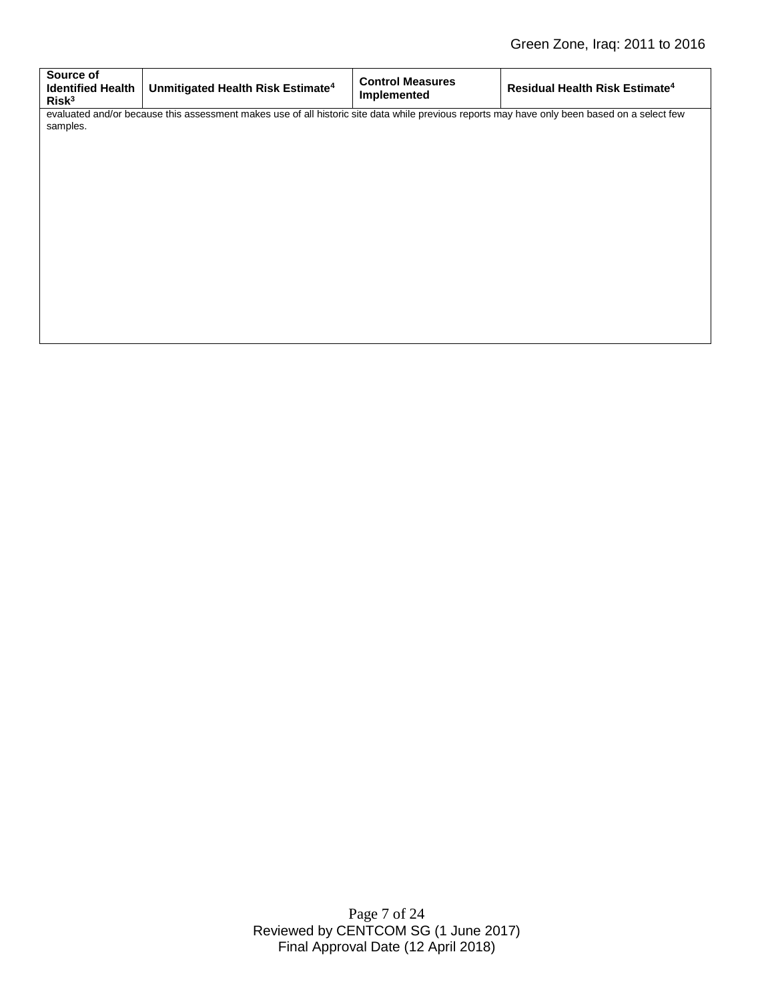| Source of<br><b>Identified Health</b><br>Risk <sup>3</sup>                                                                                               | Unmitigated Health Risk Estimate <sup>4</sup> | <b>Control Measures</b><br>Implemented | Residual Health Risk Estimate <sup>4</sup> |  |  |
|----------------------------------------------------------------------------------------------------------------------------------------------------------|-----------------------------------------------|----------------------------------------|--------------------------------------------|--|--|
| evaluated and/or because this assessment makes use of all historic site data while previous reports may have only been based on a select few<br>samples. |                                               |                                        |                                            |  |  |
|                                                                                                                                                          |                                               |                                        |                                            |  |  |
|                                                                                                                                                          |                                               |                                        |                                            |  |  |
|                                                                                                                                                          |                                               |                                        |                                            |  |  |
|                                                                                                                                                          |                                               |                                        |                                            |  |  |
|                                                                                                                                                          |                                               |                                        |                                            |  |  |
|                                                                                                                                                          |                                               |                                        |                                            |  |  |

Page 7 of 24 Reviewed by CENTCOM SG (1 June 2017) Final Approval Date (12 April 2018)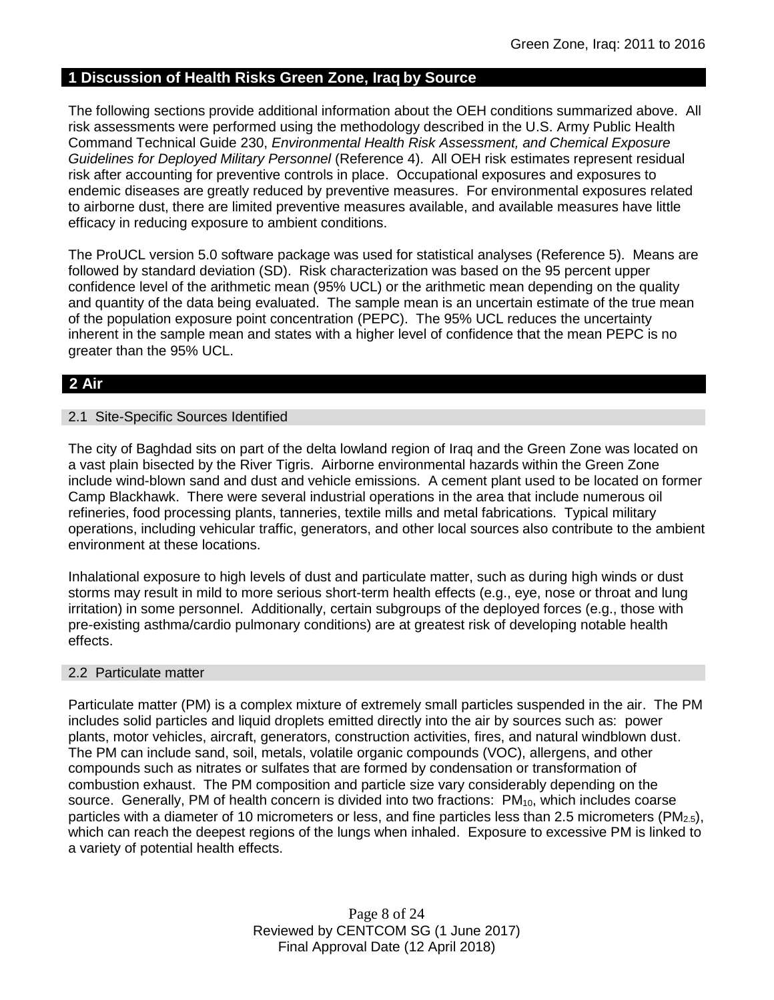## **1 Discussion of Health Risks Green Zone, Iraq by Source**

The following sections provide additional information about the OEH conditions summarized above. All risk assessments were performed using the methodology described in the U.S. Army Public Health Command Technical Guide 230, *Environmental Health Risk Assessment, and Chemical Exposure Guidelines for Deployed Military Personnel* (Reference 4). All OEH risk estimates represent residual risk after accounting for preventive controls in place. Occupational exposures and exposures to endemic diseases are greatly reduced by preventive measures. For environmental exposures related to airborne dust, there are limited preventive measures available, and available measures have little efficacy in reducing exposure to ambient conditions.

The ProUCL version 5.0 software package was used for statistical analyses (Reference 5). Means are followed by standard deviation (SD). Risk characterization was based on the 95 percent upper confidence level of the arithmetic mean (95% UCL) or the arithmetic mean depending on the quality and quantity of the data being evaluated. The sample mean is an uncertain estimate of the true mean of the population exposure point concentration (PEPC). The 95% UCL reduces the uncertainty inherent in the sample mean and states with a higher level of confidence that the mean PEPC is no greater than the 95% UCL.

## **2 Air**

## 2.1 Site-Specific Sources Identified

The city of Baghdad sits on part of the delta lowland region of Iraq and the Green Zone was located on a vast plain bisected by the River Tigris. Airborne environmental hazards within the Green Zone include wind-blown sand and dust and vehicle emissions. A cement plant used to be located on former Camp Blackhawk. There were several industrial operations in the area that include numerous oil refineries, food processing plants, tanneries, textile mills and metal fabrications. Typical military operations, including vehicular traffic, generators, and other local sources also contribute to the ambient environment at these locations.

Inhalational exposure to high levels of dust and particulate matter, such as during high winds or dust storms may result in mild to more serious short-term health effects (e.g., eye, nose or throat and lung irritation) in some personnel. Additionally, certain subgroups of the deployed forces (e.g., those with pre-existing asthma/cardio pulmonary conditions) are at greatest risk of developing notable health effects.

## 2.2 Particulate matter

Particulate matter (PM) is a complex mixture of extremely small particles suspended in the air. The PM includes solid particles and liquid droplets emitted directly into the air by sources such as: power plants, motor vehicles, aircraft, generators, construction activities, fires, and natural windblown dust. The PM can include sand, soil, metals, volatile organic compounds (VOC), allergens, and other compounds such as nitrates or sulfates that are formed by condensation or transformation of combustion exhaust. The PM composition and particle size vary considerably depending on the source. Generally, PM of health concern is divided into two fractions: PM<sub>10</sub>, which includes coarse particles with a diameter of 10 micrometers or less, and fine particles less than 2.5 micrometers ( $PM_{2.5}$ ), which can reach the deepest regions of the lungs when inhaled. Exposure to excessive PM is linked to a variety of potential health effects.

> Page 8 of 24 Reviewed by CENTCOM SG (1 June 2017) Final Approval Date (12 April 2018)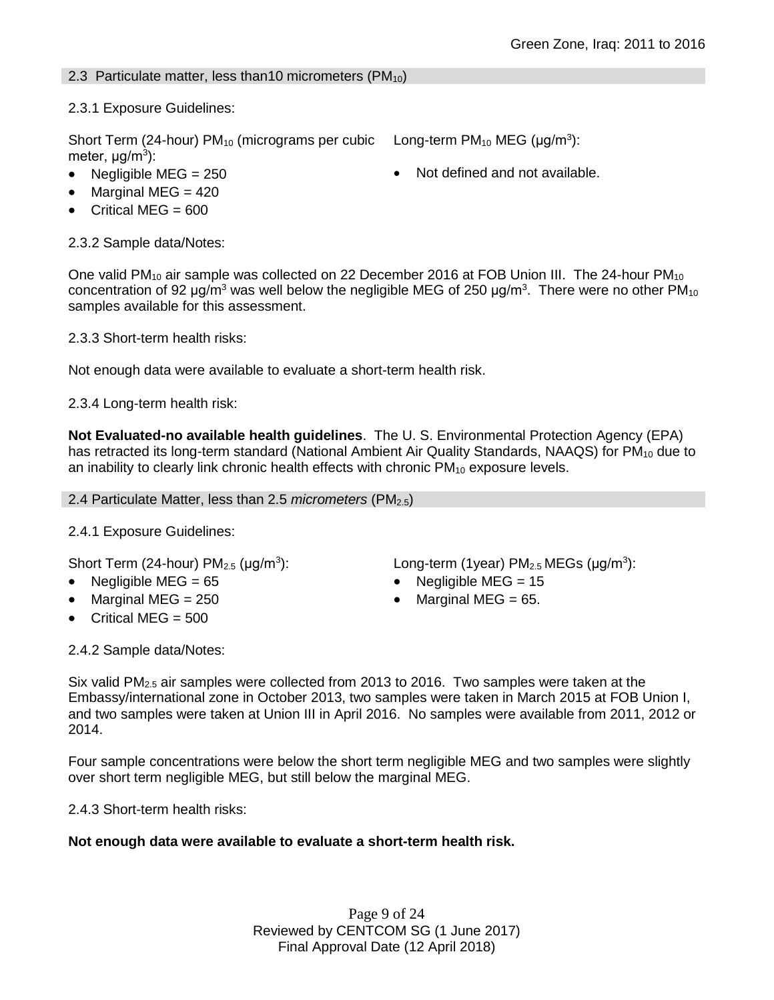## 2.3 Particulate matter, less than 10 micrometers ( $PM_{10}$ )

2.3.1 Exposure Guidelines:

Short Term (24-hour)  $PM_{10}$  (micrograms per cubic meter, μg/m<sup>3</sup>):

- Negligible MEG =  $250$   $\bullet$  Not defined and not available.
- $\bullet$  Marginal MEG = 420
- Critical MEG =  $600$

2.3.2 Sample data/Notes:

One valid PM<sub>10</sub> air sample was collected on 22 December 2016 at FOB Union III. The 24-hour PM<sub>10</sub> concentration of 92 µg/m<sup>3</sup> was well below the negligible MEG of 250 µg/m<sup>3</sup>. There were no other PM<sub>10</sub> samples available for this assessment.

2.3.3 Short-term health risks:

Not enough data were available to evaluate a short-term health risk.

2.3.4 Long-term health risk:

**Not Evaluated-no available health guidelines**. The U. S. Environmental Protection Agency (EPA) has retracted its long-term standard (National Ambient Air Quality Standards, NAAQS) for PM<sub>10</sub> due to an inability to clearly link chronic health effects with chronic  $PM_{10}$  exposure levels.

## 2.4 Particulate Matter, less than 2.5 *micrometers* (PM2.5)

## 2.4.1 Exposure Guidelines:

Short Term (24-hour)  $PM<sub>2.5</sub>$  ( $\mu$ g/m<sup>3</sup>):

- 
- Marginal MEG =  $250$  extended to Marginal MEG =  $65$ .
- $\bullet$  Critical MEG = 500

2.4.2 Sample data/Notes:

): Long-term (1year)  $PM_{2.5}$  MEGs ( $\mu$ g/m<sup>3</sup>):

Negligible MEG = 65 Negligible MEG = 15

Long-term  $PM_{10}$  MEG ( $\mu$ g/m<sup>3</sup>):

Six valid  $PM<sub>2.5</sub>$  air samples were collected from 2013 to 2016. Two samples were taken at the Embassy/international zone in October 2013, two samples were taken in March 2015 at FOB Union I, and two samples were taken at Union III in April 2016. No samples were available from 2011, 2012 or 2014.

Four sample concentrations were below the short term negligible MEG and two samples were slightly over short term negligible MEG, but still below the marginal MEG.

2.4.3 Short-term health risks:

## **Not enough data were available to evaluate a short-term health risk.**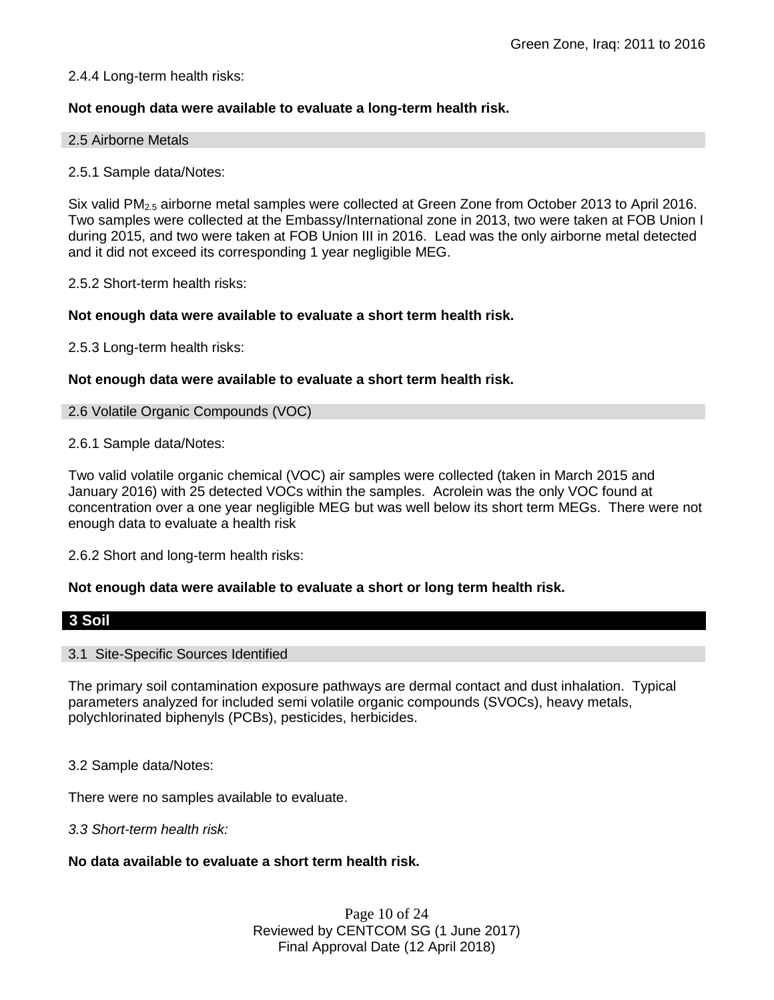## 2.4.4 Long-term health risks:

## **Not enough data were available to evaluate a long-term health risk.**

#### 2.5 Airborne Metals

## 2.5.1 Sample data/Notes:

Six valid PM<sub>2.5</sub> airborne metal samples were collected at Green Zone from October 2013 to April 2016. Two samples were collected at the Embassy/International zone in 2013, two were taken at FOB Union I during 2015, and two were taken at FOB Union III in 2016. Lead was the only airborne metal detected and it did not exceed its corresponding 1 year negligible MEG.

2.5.2 Short-term health risks:

## **Not enough data were available to evaluate a short term health risk.**

2.5.3 Long-term health risks:

#### **Not enough data were available to evaluate a short term health risk.**

#### 2.6 Volatile Organic Compounds (VOC)

#### 2.6.1 Sample data/Notes:

Two valid volatile organic chemical (VOC) air samples were collected (taken in March 2015 and January 2016) with 25 detected VOCs within the samples. Acrolein was the only VOC found at concentration over a one year negligible MEG but was well below its short term MEGs. There were not enough data to evaluate a health risk

2.6.2 Short and long-term health risks:

## **Not enough data were available to evaluate a short or long term health risk.**

## **3 Soil**

#### 3.1 Site-Specific Sources Identified

The primary soil contamination exposure pathways are dermal contact and dust inhalation. Typical parameters analyzed for included semi volatile organic compounds (SVOCs), heavy metals, polychlorinated biphenyls (PCBs), pesticides, herbicides.

3.2 Sample data/Notes:

There were no samples available to evaluate.

*3.3 Short-term health risk:*

## **No data available to evaluate a short term health risk.**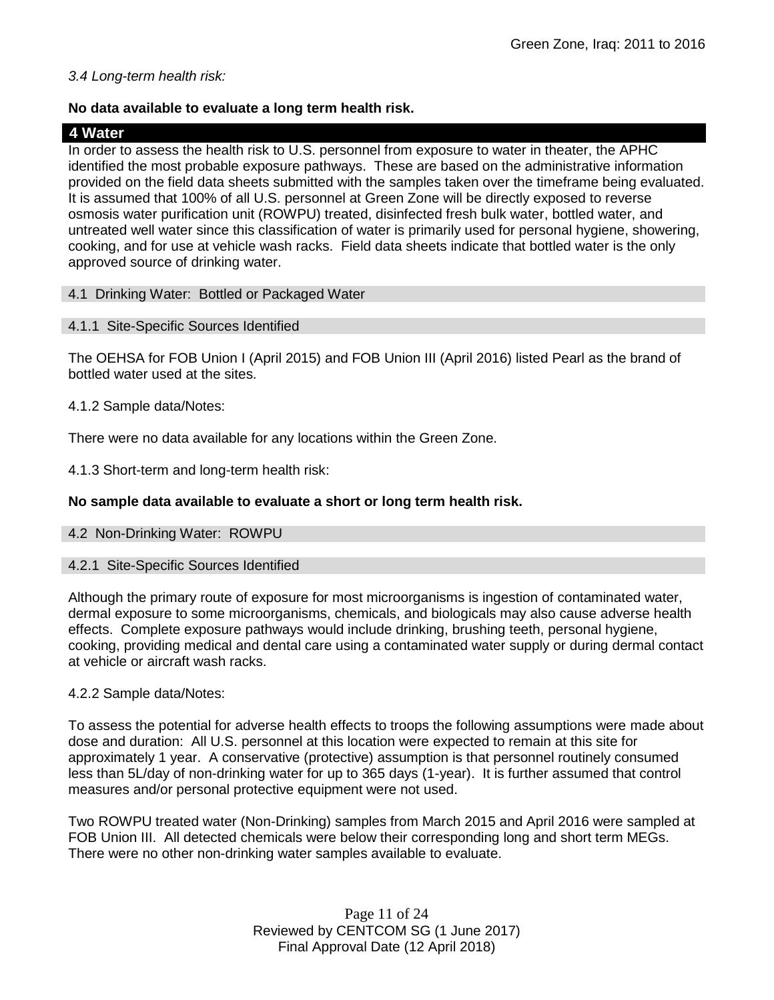## *3.4 Long-term health risk:*

## **No data available to evaluate a long term health risk.**

## **4 Water**

In order to assess the health risk to U.S. personnel from exposure to water in theater, the APHC identified the most probable exposure pathways. These are based on the administrative information provided on the field data sheets submitted with the samples taken over the timeframe being evaluated. It is assumed that 100% of all U.S. personnel at Green Zone will be directly exposed to reverse osmosis water purification unit (ROWPU) treated, disinfected fresh bulk water, bottled water, and untreated well water since this classification of water is primarily used for personal hygiene, showering, cooking, and for use at vehicle wash racks. Field data sheets indicate that bottled water is the only approved source of drinking water.

## 4.1 Drinking Water: Bottled or Packaged Water

## 4.1.1 Site-Specific Sources Identified

The OEHSA for FOB Union I (April 2015) and FOB Union III (April 2016) listed Pearl as the brand of bottled water used at the sites.

## 4.1.2 Sample data/Notes:

There were no data available for any locations within the Green Zone.

4.1.3 Short-term and long-term health risk:

## **No sample data available to evaluate a short or long term health risk.**

## 4.2 Non-Drinking Water: ROWPU

## 4.2.1 Site-Specific Sources Identified

Although the primary route of exposure for most microorganisms is ingestion of contaminated water, dermal exposure to some microorganisms, chemicals, and biologicals may also cause adverse health effects. Complete exposure pathways would include drinking, brushing teeth, personal hygiene, cooking, providing medical and dental care using a contaminated water supply or during dermal contact at vehicle or aircraft wash racks.

## 4.2.2 Sample data/Notes:

To assess the potential for adverse health effects to troops the following assumptions were made about dose and duration: All U.S. personnel at this location were expected to remain at this site for approximately 1 year. A conservative (protective) assumption is that personnel routinely consumed less than 5L/day of non-drinking water for up to 365 days (1-year). It is further assumed that control measures and/or personal protective equipment were not used.

Two ROWPU treated water (Non-Drinking) samples from March 2015 and April 2016 were sampled at FOB Union III. All detected chemicals were below their corresponding long and short term MEGs. There were no other non-drinking water samples available to evaluate.

> Page 11 of 24 Reviewed by CENTCOM SG (1 June 2017) Final Approval Date (12 April 2018)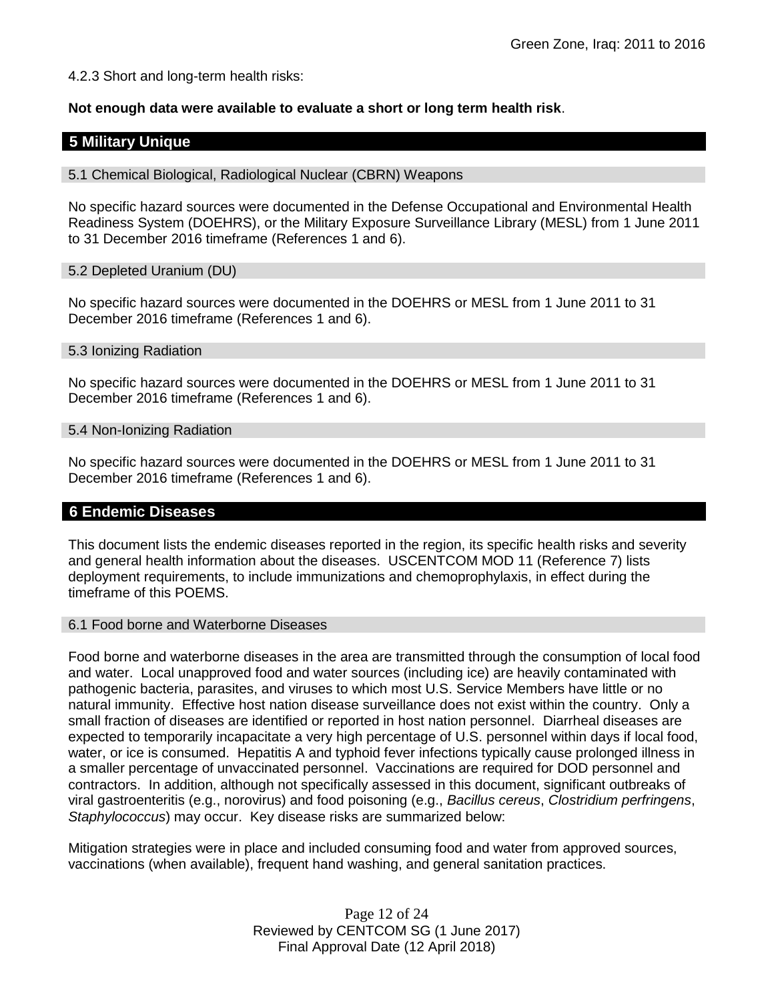4.2.3 Short and long-term health risks:

**Not enough data were available to evaluate a short or long term health risk**.

## **5 Military Unique**

5.1 Chemical Biological, Radiological Nuclear (CBRN) Weapons

No specific hazard sources were documented in the Defense Occupational and Environmental Health Readiness System (DOEHRS), or the Military Exposure Surveillance Library (MESL) from 1 June 2011 to 31 December 2016 timeframe (References 1 and 6).

#### 5.2 Depleted Uranium (DU)

No specific hazard sources were documented in the DOEHRS or MESL from 1 June 2011 to 31 December 2016 timeframe (References 1 and 6).

#### 5.3 Ionizing Radiation

No specific hazard sources were documented in the DOEHRS or MESL from 1 June 2011 to 31 December 2016 timeframe (References 1 and 6).

#### 5.4 Non-Ionizing Radiation

No specific hazard sources were documented in the DOEHRS or MESL from 1 June 2011 to 31 December 2016 timeframe (References 1 and 6).

## **6 Endemic Diseases**

This document lists the endemic diseases reported in the region, its specific health risks and severity and general health information about the diseases. USCENTCOM MOD 11 (Reference 7) lists deployment requirements, to include immunizations and chemoprophylaxis, in effect during the timeframe of this POEMS.

## 6.1 Food borne and Waterborne Diseases

Food borne and waterborne diseases in the area are transmitted through the consumption of local food and water. Local unapproved food and water sources (including ice) are heavily contaminated with pathogenic bacteria, parasites, and viruses to which most U.S. Service Members have little or no natural immunity. Effective host nation disease surveillance does not exist within the country. Only a small fraction of diseases are identified or reported in host nation personnel. Diarrheal diseases are expected to temporarily incapacitate a very high percentage of U.S. personnel within days if local food, water, or ice is consumed. Hepatitis A and typhoid fever infections typically cause prolonged illness in a smaller percentage of unvaccinated personnel. Vaccinations are required for DOD personnel and contractors. In addition, although not specifically assessed in this document, significant outbreaks of viral gastroenteritis (e.g., norovirus) and food poisoning (e.g., *Bacillus cereus*, *Clostridium perfringens*, *Staphylococcus*) may occur. Key disease risks are summarized below:

Mitigation strategies were in place and included consuming food and water from approved sources, vaccinations (when available), frequent hand washing, and general sanitation practices.

> Page 12 of 24 Reviewed by CENTCOM SG (1 June 2017) Final Approval Date (12 April 2018)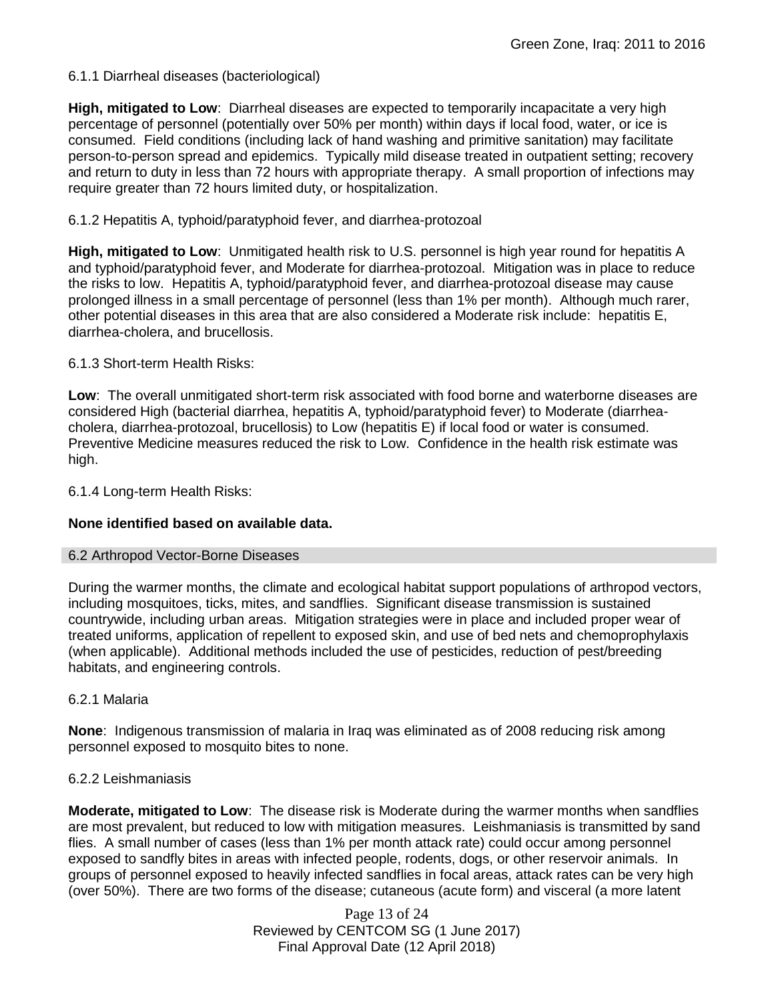## 6.1.1 Diarrheal diseases (bacteriological)

**High, mitigated to Low**: Diarrheal diseases are expected to temporarily incapacitate a very high percentage of personnel (potentially over 50% per month) within days if local food, water, or ice is consumed. Field conditions (including lack of hand washing and primitive sanitation) may facilitate person-to-person spread and epidemics. Typically mild disease treated in outpatient setting; recovery and return to duty in less than 72 hours with appropriate therapy. A small proportion of infections may require greater than 72 hours limited duty, or hospitalization.

## 6.1.2 Hepatitis A, typhoid/paratyphoid fever, and diarrhea-protozoal

**High, mitigated to Low**: Unmitigated health risk to U.S. personnel is high year round for hepatitis A and typhoid/paratyphoid fever, and Moderate for diarrhea-protozoal. Mitigation was in place to reduce the risks to low. Hepatitis A, typhoid/paratyphoid fever, and diarrhea-protozoal disease may cause prolonged illness in a small percentage of personnel (less than 1% per month). Although much rarer, other potential diseases in this area that are also considered a Moderate risk include: hepatitis E, diarrhea-cholera, and brucellosis.

## 6.1.3 Short-term Health Risks:

**Low**: The overall unmitigated short-term risk associated with food borne and waterborne diseases are considered High (bacterial diarrhea, hepatitis A, typhoid/paratyphoid fever) to Moderate (diarrheacholera, diarrhea-protozoal, brucellosis) to Low (hepatitis E) if local food or water is consumed. Preventive Medicine measures reduced the risk to Low. Confidence in the health risk estimate was high.

6.1.4 Long-term Health Risks:

## **None identified based on available data.**

## 6.2 Arthropod Vector-Borne Diseases

During the warmer months, the climate and ecological habitat support populations of arthropod vectors, including mosquitoes, ticks, mites, and sandflies. Significant disease transmission is sustained countrywide, including urban areas. Mitigation strategies were in place and included proper wear of treated uniforms, application of repellent to exposed skin, and use of bed nets and chemoprophylaxis (when applicable). Additional methods included the use of pesticides, reduction of pest/breeding habitats, and engineering controls.

## 6.2.1 Malaria

**None**: Indigenous transmission of malaria in Iraq was eliminated as of 2008 reducing risk among personnel exposed to mosquito bites to none.

## 6.2.2 Leishmaniasis

**Moderate, mitigated to Low**: The disease risk is Moderate during the warmer months when sandflies are most prevalent, but reduced to low with mitigation measures. Leishmaniasis is transmitted by sand flies. A small number of cases (less than 1% per month attack rate) could occur among personnel exposed to sandfly bites in areas with infected people, rodents, dogs, or other reservoir animals. In groups of personnel exposed to heavily infected sandflies in focal areas, attack rates can be very high (over 50%). There are two forms of the disease; cutaneous (acute form) and visceral (a more latent

> Page 13 of 24 Reviewed by CENTCOM SG (1 June 2017) Final Approval Date (12 April 2018)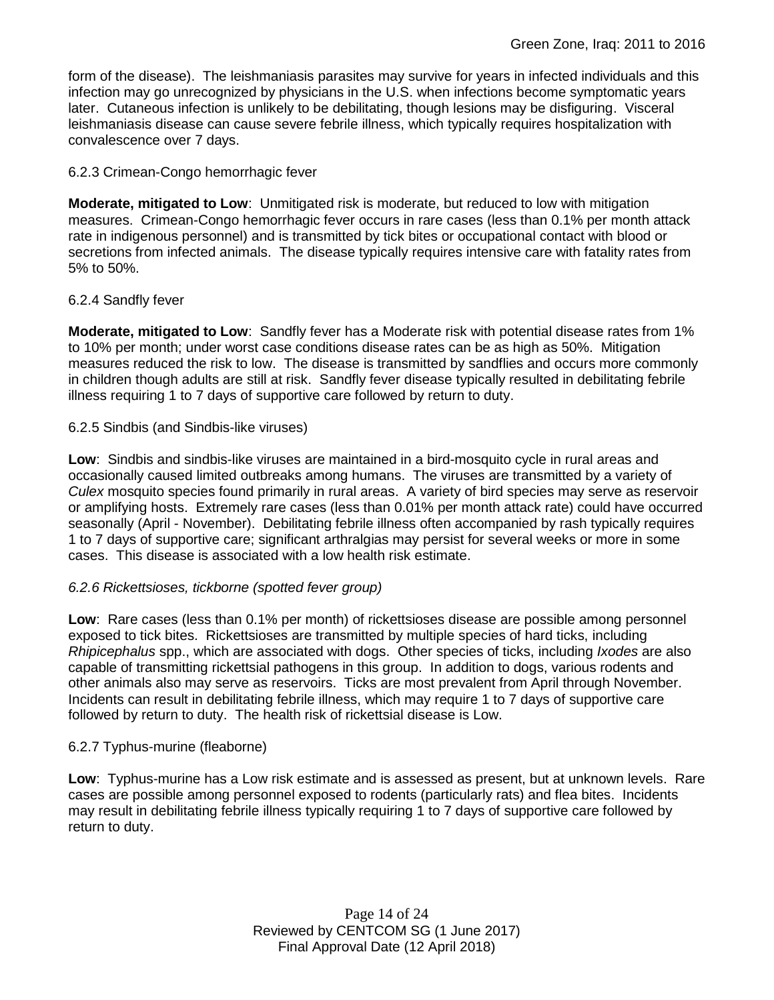form of the disease). The leishmaniasis parasites may survive for years in infected individuals and this infection may go unrecognized by physicians in the U.S. when infections become symptomatic years later. Cutaneous infection is unlikely to be debilitating, though lesions may be disfiguring. Visceral leishmaniasis disease can cause severe febrile illness, which typically requires hospitalization with convalescence over 7 days.

## 6.2.3 Crimean-Congo hemorrhagic fever

**Moderate, mitigated to Low**: Unmitigated risk is moderate, but reduced to low with mitigation measures. Crimean-Congo hemorrhagic fever occurs in rare cases (less than 0.1% per month attack rate in indigenous personnel) and is transmitted by tick bites or occupational contact with blood or secretions from infected animals. The disease typically requires intensive care with fatality rates from 5% to 50%.

## 6.2.4 Sandfly fever

**Moderate, mitigated to Low**: Sandfly fever has a Moderate risk with potential disease rates from 1% to 10% per month; under worst case conditions disease rates can be as high as 50%. Mitigation measures reduced the risk to low. The disease is transmitted by sandflies and occurs more commonly in children though adults are still at risk. Sandfly fever disease typically resulted in debilitating febrile illness requiring 1 to 7 days of supportive care followed by return to duty.

## 6.2.5 Sindbis (and Sindbis-like viruses)

**Low**: Sindbis and sindbis-like viruses are maintained in a bird-mosquito cycle in rural areas and occasionally caused limited outbreaks among humans. The viruses are transmitted by a variety of *Culex* mosquito species found primarily in rural areas. A variety of bird species may serve as reservoir or amplifying hosts. Extremely rare cases (less than 0.01% per month attack rate) could have occurred seasonally (April - November). Debilitating febrile illness often accompanied by rash typically requires 1 to 7 days of supportive care; significant arthralgias may persist for several weeks or more in some cases. This disease is associated with a low health risk estimate.

## *6.2.6 Rickettsioses, tickborne (spotted fever group)*

**Low**: Rare cases (less than 0.1% per month) of rickettsioses disease are possible among personnel exposed to tick bites. Rickettsioses are transmitted by multiple species of hard ticks, including *Rhipicephalus* spp., which are associated with dogs. Other species of ticks, including *Ixodes* are also capable of transmitting rickettsial pathogens in this group. In addition to dogs, various rodents and other animals also may serve as reservoirs. Ticks are most prevalent from April through November. Incidents can result in debilitating febrile illness, which may require 1 to 7 days of supportive care followed by return to duty. The health risk of rickettsial disease is Low.

## 6.2.7 Typhus-murine (fleaborne)

**Low**: Typhus-murine has a Low risk estimate and is assessed as present, but at unknown levels. Rare cases are possible among personnel exposed to rodents (particularly rats) and flea bites. Incidents may result in debilitating febrile illness typically requiring 1 to 7 days of supportive care followed by return to duty.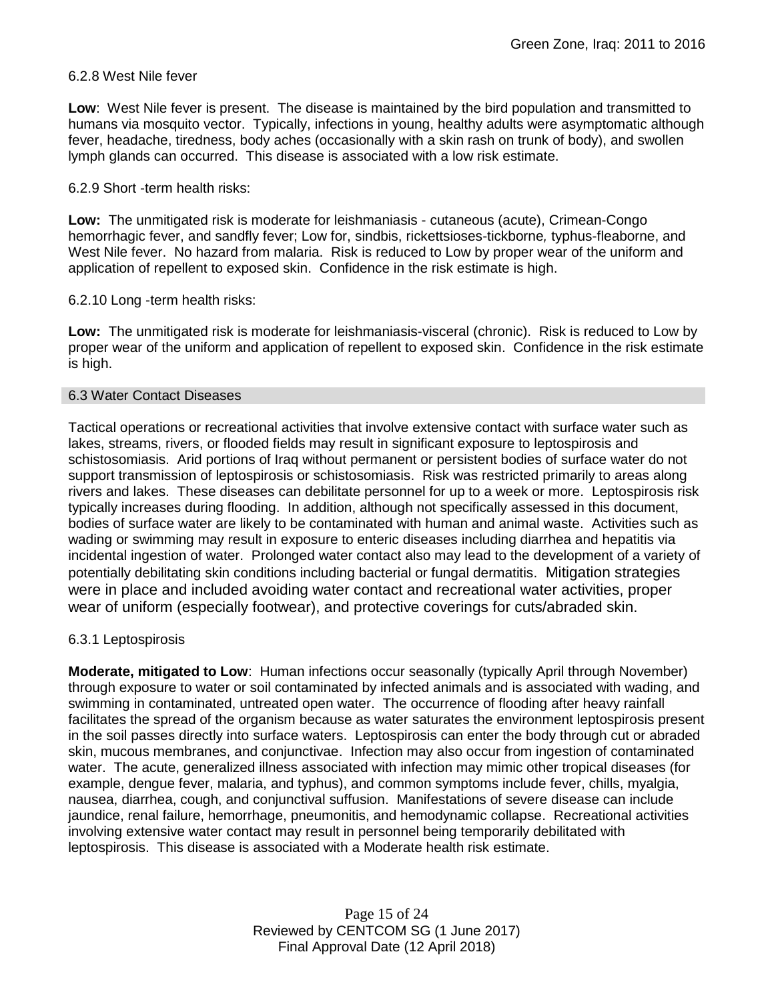### 6.2.8 West Nile fever

**Low**: West Nile fever is present. The disease is maintained by the bird population and transmitted to humans via mosquito vector. Typically, infections in young, healthy adults were asymptomatic although fever, headache, tiredness, body aches (occasionally with a skin rash on trunk of body), and swollen lymph glands can occurred. This disease is associated with a low risk estimate.

### 6.2.9 Short -term health risks:

**Low:** The unmitigated risk is moderate for leishmaniasis - cutaneous (acute), Crimean-Congo hemorrhagic fever, and sandfly fever; Low for, sindbis, rickettsioses-tickborne*,* typhus-fleaborne, and West Nile fever. No hazard from malaria. Risk is reduced to Low by proper wear of the uniform and application of repellent to exposed skin. Confidence in the risk estimate is high.

#### 6.2.10 Long -term health risks:

**Low:** The unmitigated risk is moderate for leishmaniasis-visceral (chronic). Risk is reduced to Low by proper wear of the uniform and application of repellent to exposed skin. Confidence in the risk estimate is high.

#### 6.3 Water Contact Diseases

Tactical operations or recreational activities that involve extensive contact with surface water such as lakes, streams, rivers, or flooded fields may result in significant exposure to leptospirosis and schistosomiasis. Arid portions of Iraq without permanent or persistent bodies of surface water do not support transmission of leptospirosis or schistosomiasis. Risk was restricted primarily to areas along rivers and lakes. These diseases can debilitate personnel for up to a week or more. Leptospirosis risk typically increases during flooding. In addition, although not specifically assessed in this document, bodies of surface water are likely to be contaminated with human and animal waste. Activities such as wading or swimming may result in exposure to enteric diseases including diarrhea and hepatitis via incidental ingestion of water. Prolonged water contact also may lead to the development of a variety of potentially debilitating skin conditions including bacterial or fungal dermatitis. Mitigation strategies were in place and included avoiding water contact and recreational water activities, proper wear of uniform (especially footwear), and protective coverings for cuts/abraded skin.

## 6.3.1 Leptospirosis

**Moderate, mitigated to Low**: Human infections occur seasonally (typically April through November) through exposure to water or soil contaminated by infected animals and is associated with wading, and swimming in contaminated, untreated open water. The occurrence of flooding after heavy rainfall facilitates the spread of the organism because as water saturates the environment leptospirosis present in the soil passes directly into surface waters. Leptospirosis can enter the body through cut or abraded skin, mucous membranes, and conjunctivae. Infection may also occur from ingestion of contaminated water. The acute, generalized illness associated with infection may mimic other tropical diseases (for example, dengue fever, malaria, and typhus), and common symptoms include fever, chills, myalgia, nausea, diarrhea, cough, and conjunctival suffusion. Manifestations of severe disease can include jaundice, renal failure, hemorrhage, pneumonitis, and hemodynamic collapse. Recreational activities involving extensive water contact may result in personnel being temporarily debilitated with leptospirosis. This disease is associated with a Moderate health risk estimate.

> Page 15 of 24 Reviewed by CENTCOM SG (1 June 2017) Final Approval Date (12 April 2018)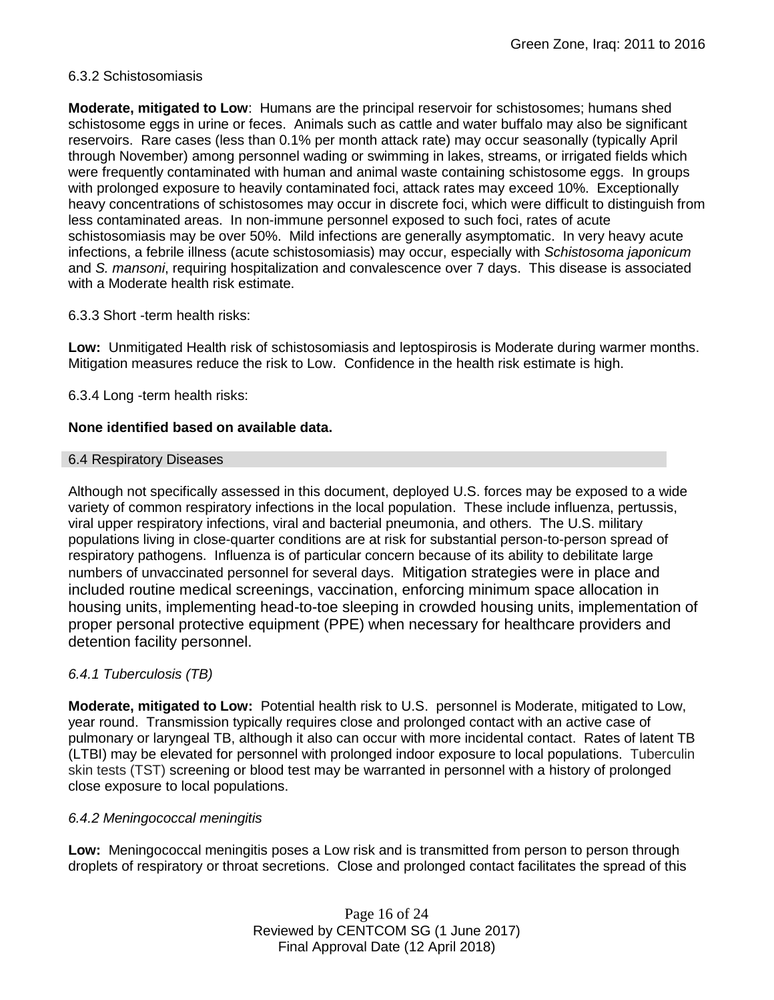## 6.3.2 Schistosomiasis

**Moderate, mitigated to Low**: Humans are the principal reservoir for schistosomes; humans shed schistosome eggs in urine or feces. Animals such as cattle and water buffalo may also be significant reservoirs. Rare cases (less than 0.1% per month attack rate) may occur seasonally (typically April through November) among personnel wading or swimming in lakes, streams, or irrigated fields which were frequently contaminated with human and animal waste containing schistosome eggs. In groups with prolonged exposure to heavily contaminated foci, attack rates may exceed 10%. Exceptionally heavy concentrations of schistosomes may occur in discrete foci, which were difficult to distinguish from less contaminated areas. In non-immune personnel exposed to such foci, rates of acute schistosomiasis may be over 50%. Mild infections are generally asymptomatic. In very heavy acute infections, a febrile illness (acute schistosomiasis) may occur, especially with *Schistosoma japonicum*  and *S. mansoni*, requiring hospitalization and convalescence over 7 days. This disease is associated with a Moderate health risk estimate.

## 6.3.3 Short -term health risks:

**Low:** Unmitigated Health risk of schistosomiasis and leptospirosis is Moderate during warmer months. Mitigation measures reduce the risk to Low. Confidence in the health risk estimate is high.

6.3.4 Long -term health risks:

## **None identified based on available data.**

#### 6.4 Respiratory Diseases

Although not specifically assessed in this document, deployed U.S. forces may be exposed to a wide variety of common respiratory infections in the local population. These include influenza, pertussis, viral upper respiratory infections, viral and bacterial pneumonia, and others. The U.S. military populations living in close-quarter conditions are at risk for substantial person-to-person spread of respiratory pathogens. Influenza is of particular concern because of its ability to debilitate large numbers of unvaccinated personnel for several days. Mitigation strategies were in place and included routine medical screenings, vaccination, enforcing minimum space allocation in housing units, implementing head-to-toe sleeping in crowded housing units, implementation of proper personal protective equipment (PPE) when necessary for healthcare providers and detention facility personnel.

## *6.4.1 Tuberculosis (TB)*

**Moderate, mitigated to Low:** Potential health risk to U.S. personnel is Moderate, mitigated to Low, year round. Transmission typically requires close and prolonged contact with an active case of pulmonary or laryngeal TB, although it also can occur with more incidental contact. Rates of latent TB (LTBI) may be elevated for personnel with prolonged indoor exposure to local populations. Tuberculin skin tests (TST) screening or blood test may be warranted in personnel with a history of prolonged close exposure to local populations.

## *6.4.2 Meningococcal meningitis*

**Low:** Meningococcal meningitis poses a Low risk and is transmitted from person to person through droplets of respiratory or throat secretions. Close and prolonged contact facilitates the spread of this

> Page 16 of 24 Reviewed by CENTCOM SG (1 June 2017) Final Approval Date (12 April 2018)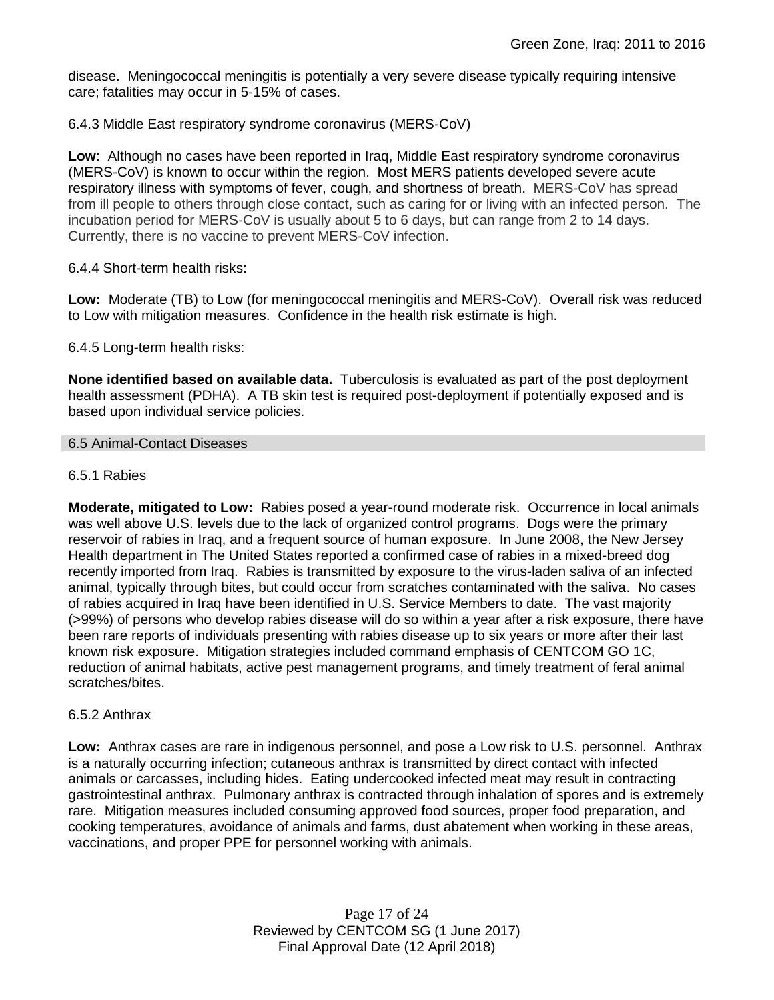disease. Meningococcal meningitis is potentially a very severe disease typically requiring intensive care; fatalities may occur in 5-15% of cases.

## 6.4.3 Middle East respiratory syndrome coronavirus (MERS-CoV)

**Low**: Although no cases have been reported in Iraq, Middle East respiratory syndrome coronavirus (MERS-CoV) is known to occur within the region. Most MERS patients developed severe acute respiratory illness with symptoms of fever, cough, and shortness of breath. MERS-CoV has spread from ill people to others through close contact, such as caring for or living with an infected person. The incubation period for MERS-CoV is usually about 5 to 6 days, but can range from 2 to 14 days. Currently, there is no vaccine to prevent MERS-CoV infection.

## 6.4.4 Short-term health risks:

**Low:** Moderate (TB) to Low (for meningococcal meningitis and MERS-CoV). Overall risk was reduced to Low with mitigation measures. Confidence in the health risk estimate is high.

## 6.4.5 Long-term health risks:

**None identified based on available data.** Tuberculosis is evaluated as part of the post deployment health assessment (PDHA). A TB skin test is required post-deployment if potentially exposed and is based upon individual service policies.

## 6.5 Animal-Contact Diseases

## 6.5.1 Rabies

**Moderate, mitigated to Low:** Rabies posed a year-round moderate risk. Occurrence in local animals was well above U.S. levels due to the lack of organized control programs. Dogs were the primary reservoir of rabies in Iraq, and a frequent source of human exposure. In June 2008, the New Jersey Health department in The United States reported a confirmed case of rabies in a mixed-breed dog recently imported from Iraq. Rabies is transmitted by exposure to the virus-laden saliva of an infected animal, typically through bites, but could occur from scratches contaminated with the saliva. No cases of rabies acquired in Iraq have been identified in U.S. Service Members to date. The vast majority (>99%) of persons who develop rabies disease will do so within a year after a risk exposure, there have been rare reports of individuals presenting with rabies disease up to six years or more after their last known risk exposure. Mitigation strategies included command emphasis of CENTCOM GO 1C, reduction of animal habitats, active pest management programs, and timely treatment of feral animal scratches/bites.

## 6.5.2 Anthrax

**Low:** Anthrax cases are rare in indigenous personnel, and pose a Low risk to U.S. personnel. Anthrax is a naturally occurring infection; cutaneous anthrax is transmitted by direct contact with infected animals or carcasses, including hides. Eating undercooked infected meat may result in contracting gastrointestinal anthrax. Pulmonary anthrax is contracted through inhalation of spores and is extremely rare. Mitigation measures included consuming approved food sources, proper food preparation, and cooking temperatures, avoidance of animals and farms, dust abatement when working in these areas, vaccinations, and proper PPE for personnel working with animals.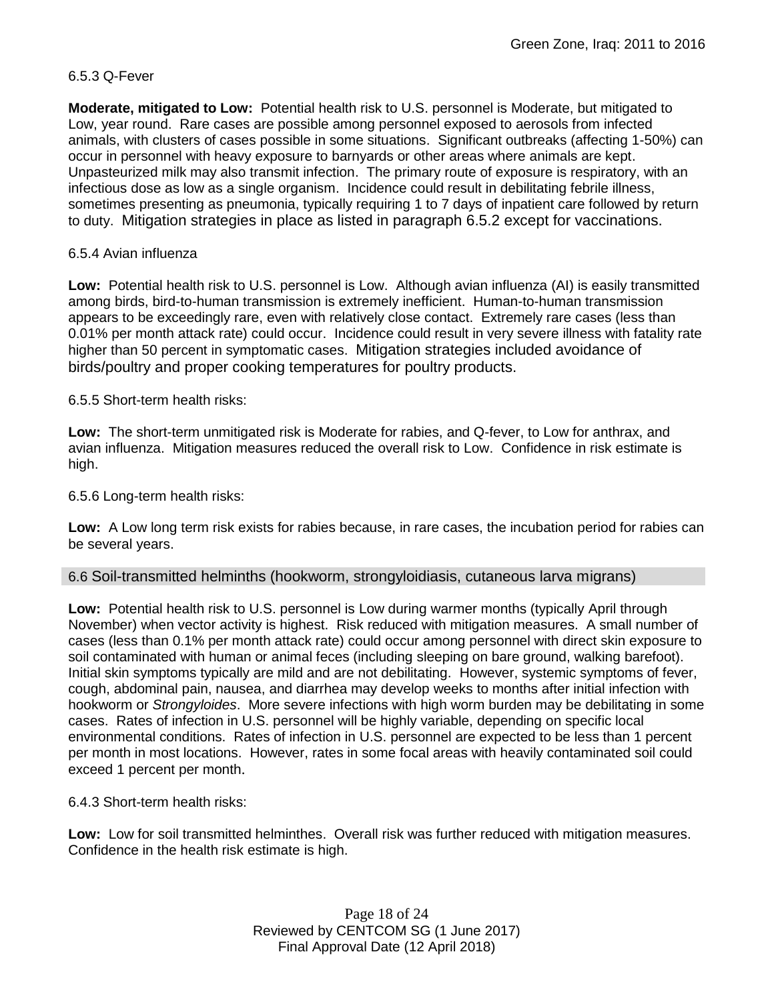## 6.5.3 Q-Fever

**Moderate, mitigated to Low:** Potential health risk to U.S. personnel is Moderate, but mitigated to Low, year round. Rare cases are possible among personnel exposed to aerosols from infected animals, with clusters of cases possible in some situations. Significant outbreaks (affecting 1-50%) can occur in personnel with heavy exposure to barnyards or other areas where animals are kept. Unpasteurized milk may also transmit infection. The primary route of exposure is respiratory, with an infectious dose as low as a single organism. Incidence could result in debilitating febrile illness, sometimes presenting as pneumonia, typically requiring 1 to 7 days of inpatient care followed by return to duty. Mitigation strategies in place as listed in paragraph 6.5.2 except for vaccinations.

## 6.5.4 Avian influenza

**Low:** Potential health risk to U.S. personnel is Low. Although avian influenza (AI) is easily transmitted among birds, bird-to-human transmission is extremely inefficient. Human-to-human transmission appears to be exceedingly rare, even with relatively close contact. Extremely rare cases (less than 0.01% per month attack rate) could occur. Incidence could result in very severe illness with fatality rate higher than 50 percent in symptomatic cases. Mitigation strategies included avoidance of birds/poultry and proper cooking temperatures for poultry products.

6.5.5 Short-term health risks:

**Low:** The short-term unmitigated risk is Moderate for rabies, and Q-fever, to Low for anthrax, and avian influenza. Mitigation measures reduced the overall risk to Low. Confidence in risk estimate is high.

## 6.5.6 Long-term health risks:

**Low:** A Low long term risk exists for rabies because, in rare cases, the incubation period for rabies can be several years.

## 6.6 Soil-transmitted helminths (hookworm, strongyloidiasis, cutaneous larva migrans)

**Low:** Potential health risk to U.S. personnel is Low during warmer months (typically April through November) when vector activity is highest. Risk reduced with mitigation measures. A small number of cases (less than 0.1% per month attack rate) could occur among personnel with direct skin exposure to soil contaminated with human or animal feces (including sleeping on bare ground, walking barefoot). Initial skin symptoms typically are mild and are not debilitating. However, systemic symptoms of fever, cough, abdominal pain, nausea, and diarrhea may develop weeks to months after initial infection with hookworm or *Strongyloides*. More severe infections with high worm burden may be debilitating in some cases. Rates of infection in U.S. personnel will be highly variable, depending on specific local environmental conditions. Rates of infection in U.S. personnel are expected to be less than 1 percent per month in most locations. However, rates in some focal areas with heavily contaminated soil could exceed 1 percent per month.

6.4.3 Short-term health risks:

**Low:** Low for soil transmitted helminthes. Overall risk was further reduced with mitigation measures. Confidence in the health risk estimate is high.

> Page 18 of 24 Reviewed by CENTCOM SG (1 June 2017) Final Approval Date (12 April 2018)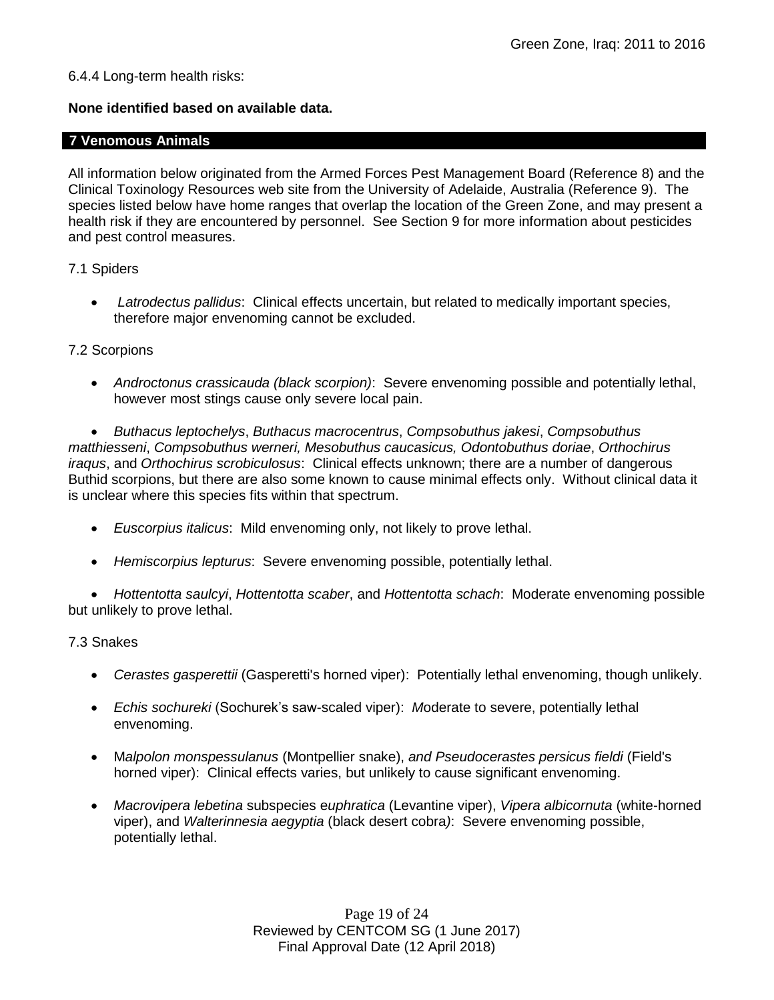## 6.4.4 Long-term health risks:

## **None identified based on available data.**

## **7 Venomous Animals**

All information below originated from the Armed Forces Pest Management Board (Reference 8) and the Clinical Toxinology Resources web site from the University of Adelaide, Australia (Reference 9). The species listed below have home ranges that overlap the location of the Green Zone, and may present a health risk if they are encountered by personnel. See Section 9 for more information about pesticides and pest control measures.

## 7.1 Spiders

 *Latrodectus pallidus*: Clinical effects uncertain, but related to medically important species, therefore major envenoming cannot be excluded.

## 7.2 Scorpions

 *Androctonus crassicauda (black scorpion)*:Severe envenoming possible and potentially lethal, however most stings cause only severe local pain.

 *Buthacus leptochelys*, *Buthacus macrocentrus*, *Compsobuthus jakesi*, *Compsobuthus matthiesseni*, *Compsobuthus werneri, Mesobuthus caucasicus, Odontobuthus doriae*, *Orthochirus iraqus*, and *Orthochirus scrobiculosus*: Clinical effects unknown; there are a number of dangerous Buthid scorpions, but there are also some known to cause minimal effects only. Without clinical data it is unclear where this species fits within that spectrum.

- *Euscorpius italicus*: Mild envenoming only, not likely to prove lethal.
- *Hemiscorpius lepturus*: Severe envenoming possible, potentially lethal.

 *Hottentotta saulcyi*, *Hottentotta scaber*, and *Hottentotta schach*: Moderate envenoming possible but unlikely to prove lethal.

## 7.3 Snakes

- *Cerastes gasperettii* (Gasperetti's horned viper): Potentially lethal envenoming, though unlikely.
- *Echis sochureki* (Sochurek's saw-scaled viper): *M*oderate to severe, potentially lethal envenoming.
- M*alpolon monspessulanus* (Montpellier snake), *and Pseudocerastes persicus fieldi* (Field's horned viper): Clinical effects varies, but unlikely to cause significant envenoming.
- *Macrovipera lebetina* subspecies e*uphratica* (Levantine viper), *Vipera albicornuta* (white-horned viper), and *Walterinnesia aegyptia* (black desert cobra*)*: Severe envenoming possible, potentially lethal.

Page 19 of 24 Reviewed by CENTCOM SG (1 June 2017) Final Approval Date (12 April 2018)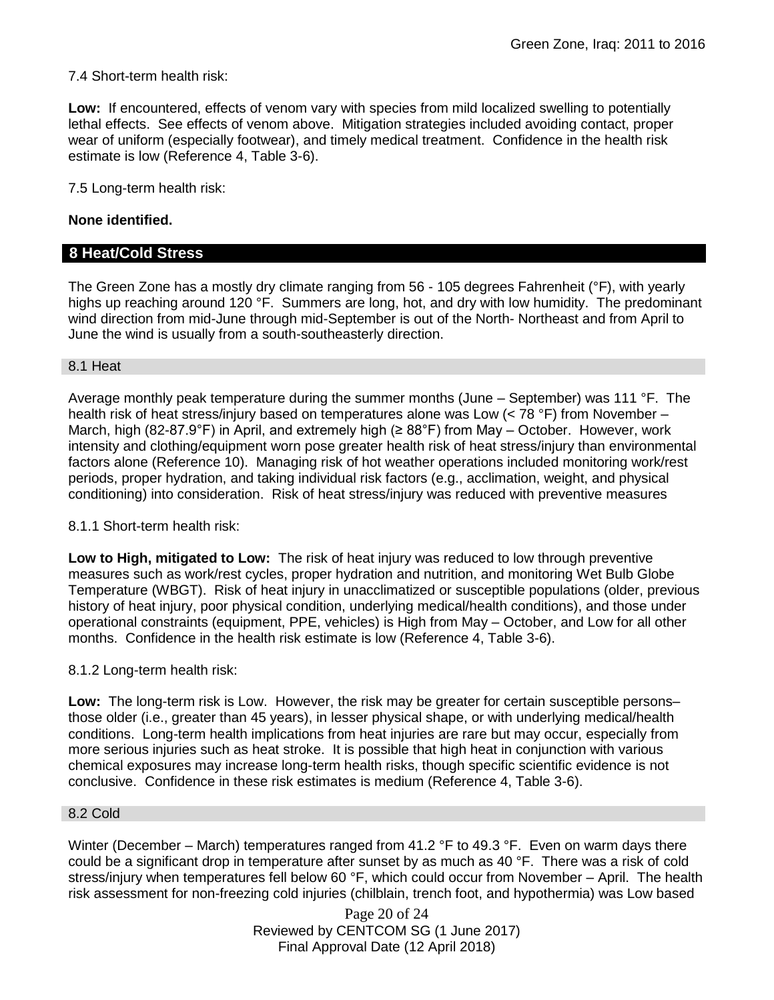7.4 Short-term health risk:

**Low:** If encountered, effects of venom vary with species from mild localized swelling to potentially lethal effects. See effects of venom above. Mitigation strategies included avoiding contact, proper wear of uniform (especially footwear), and timely medical treatment. Confidence in the health risk estimate is low (Reference 4, Table 3-6).

7.5 Long-term health risk:

## **None identified.**

## **8 Heat/Cold Stress**

The Green Zone has a mostly dry climate ranging from 56 - 105 degrees Fahrenheit (°F), with yearly highs up reaching around 120 °F. Summers are long, hot, and dry with low humidity. The predominant wind direction from mid-June through mid-September is out of the North- Northeast and from April to June the wind is usually from a south-southeasterly direction.

#### 8.1 Heat

Average monthly peak temperature during the summer months (June  $-$  September) was 111 °F. The health risk of heat stress/injury based on temperatures alone was Low (< 78 °F) from November – March, high (82-87.9°F) in April, and extremely high (≥ 88°F) from May – October. However, work intensity and clothing/equipment worn pose greater health risk of heat stress/injury than environmental factors alone (Reference 10). Managing risk of hot weather operations included monitoring work/rest periods, proper hydration, and taking individual risk factors (e.g., acclimation, weight, and physical conditioning) into consideration. Risk of heat stress/injury was reduced with preventive measures

8.1.1 Short-term health risk:

**Low to High, mitigated to Low:** The risk of heat injury was reduced to low through preventive measures such as work/rest cycles, proper hydration and nutrition, and monitoring Wet Bulb Globe Temperature (WBGT). Risk of heat injury in unacclimatized or susceptible populations (older, previous history of heat injury, poor physical condition, underlying medical/health conditions), and those under operational constraints (equipment, PPE, vehicles) is High from May – October, and Low for all other months. Confidence in the health risk estimate is low (Reference 4, Table 3-6).

## 8.1.2 Long-term health risk:

**Low:** The long-term risk is Low. However, the risk may be greater for certain susceptible persons– those older (i.e., greater than 45 years), in lesser physical shape, or with underlying medical/health conditions. Long-term health implications from heat injuries are rare but may occur, especially from more serious injuries such as heat stroke. It is possible that high heat in conjunction with various chemical exposures may increase long-term health risks, though specific scientific evidence is not conclusive. Confidence in these risk estimates is medium (Reference 4, Table 3-6).

## 8.2 Cold

Winter (December – March) temperatures ranged from 41.2 °F to 49.3 °F. Even on warm days there could be a significant drop in temperature after sunset by as much as 40 °F. There was a risk of cold stress/injury when temperatures fell below 60 °F, which could occur from November – April. The health risk assessment for non-freezing cold injuries (chilblain, trench foot, and hypothermia) was Low based

> Page 20 of 24 Reviewed by CENTCOM SG (1 June 2017) Final Approval Date (12 April 2018)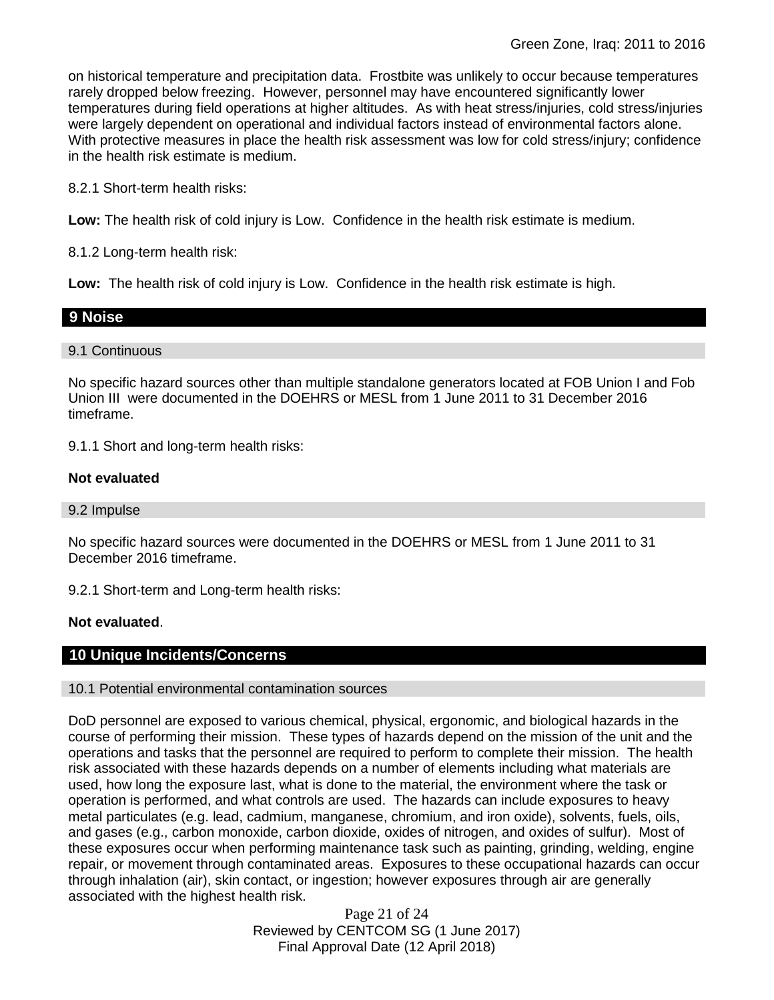on historical temperature and precipitation data. Frostbite was unlikely to occur because temperatures rarely dropped below freezing. However, personnel may have encountered significantly lower temperatures during field operations at higher altitudes. As with heat stress/injuries, cold stress/injuries were largely dependent on operational and individual factors instead of environmental factors alone. With protective measures in place the health risk assessment was low for cold stress/injury; confidence in the health risk estimate is medium.

8.2.1 Short-term health risks:

**Low:** The health risk of cold injury is Low. Confidence in the health risk estimate is medium.

8.1.2 Long-term health risk:

**Low:** The health risk of cold injury is Low. Confidence in the health risk estimate is high.

## **9 Noise**

## 9.1 Continuous

No specific hazard sources other than multiple standalone generators located at FOB Union I and Fob Union III were documented in the DOEHRS or MESL from 1 June 2011 to 31 December 2016 timeframe.

9.1.1 Short and long-term health risks:

## **Not evaluated**

## 9.2 Impulse

No specific hazard sources were documented in the DOEHRS or MESL from 1 June 2011 to 31 December 2016 timeframe.

9.2.1 Short-term and Long-term health risks:

## **Not evaluated**.

## **10 Unique Incidents/Concerns**

## 10.1 Potential environmental contamination sources

DoD personnel are exposed to various chemical, physical, ergonomic, and biological hazards in the course of performing their mission. These types of hazards depend on the mission of the unit and the operations and tasks that the personnel are required to perform to complete their mission. The health risk associated with these hazards depends on a number of elements including what materials are used, how long the exposure last, what is done to the material, the environment where the task or operation is performed, and what controls are used. The hazards can include exposures to heavy metal particulates (e.g. lead, cadmium, manganese, chromium, and iron oxide), solvents, fuels, oils, and gases (e.g., carbon monoxide, carbon dioxide, oxides of nitrogen, and oxides of sulfur). Most of these exposures occur when performing maintenance task such as painting, grinding, welding, engine repair, or movement through contaminated areas. Exposures to these occupational hazards can occur through inhalation (air), skin contact, or ingestion; however exposures through air are generally associated with the highest health risk.

> Page 21 of 24 Reviewed by CENTCOM SG (1 June 2017) Final Approval Date (12 April 2018)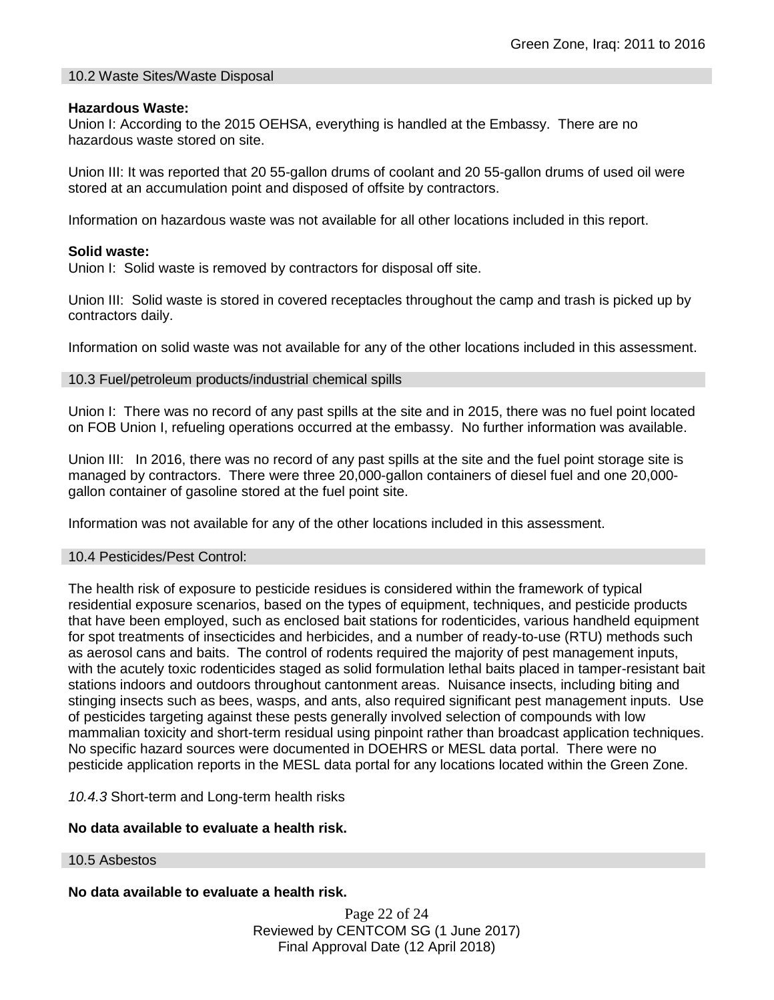## 10.2 Waste Sites/Waste Disposal

#### **Hazardous Waste:**

Union I: According to the 2015 OEHSA, everything is handled at the Embassy. There are no hazardous waste stored on site.

Union III: It was reported that 20 55-gallon drums of coolant and 20 55-gallon drums of used oil were stored at an accumulation point and disposed of offsite by contractors.

Information on hazardous waste was not available for all other locations included in this report.

#### **Solid waste:**

Union I: Solid waste is removed by contractors for disposal off site.

Union III: Solid waste is stored in covered receptacles throughout the camp and trash is picked up by contractors daily.

Information on solid waste was not available for any of the other locations included in this assessment.

#### 10.3 Fuel/petroleum products/industrial chemical spills

Union I: There was no record of any past spills at the site and in 2015, there was no fuel point located on FOB Union I, refueling operations occurred at the embassy. No further information was available.

Union III: In 2016, there was no record of any past spills at the site and the fuel point storage site is managed by contractors. There were three 20,000-gallon containers of diesel fuel and one 20,000 gallon container of gasoline stored at the fuel point site.

Information was not available for any of the other locations included in this assessment.

#### 10.4 Pesticides/Pest Control:

The health risk of exposure to pesticide residues is considered within the framework of typical residential exposure scenarios, based on the types of equipment, techniques, and pesticide products that have been employed, such as enclosed bait stations for rodenticides, various handheld equipment for spot treatments of insecticides and herbicides, and a number of ready-to-use (RTU) methods such as aerosol cans and baits. The control of rodents required the majority of pest management inputs, with the acutely toxic rodenticides staged as solid formulation lethal baits placed in tamper-resistant bait stations indoors and outdoors throughout cantonment areas. Nuisance insects, including biting and stinging insects such as bees, wasps, and ants, also required significant pest management inputs. Use of pesticides targeting against these pests generally involved selection of compounds with low mammalian toxicity and short-term residual using pinpoint rather than broadcast application techniques. No specific hazard sources were documented in DOEHRS or MESL data portal. There were no pesticide application reports in the MESL data portal for any locations located within the Green Zone.

*10.4.3* Short-term and Long-term health risks

## **No data available to evaluate a health risk.**

10.5 Asbestos

**No data available to evaluate a health risk.**

Page 22 of 24 Reviewed by CENTCOM SG (1 June 2017) Final Approval Date (12 April 2018)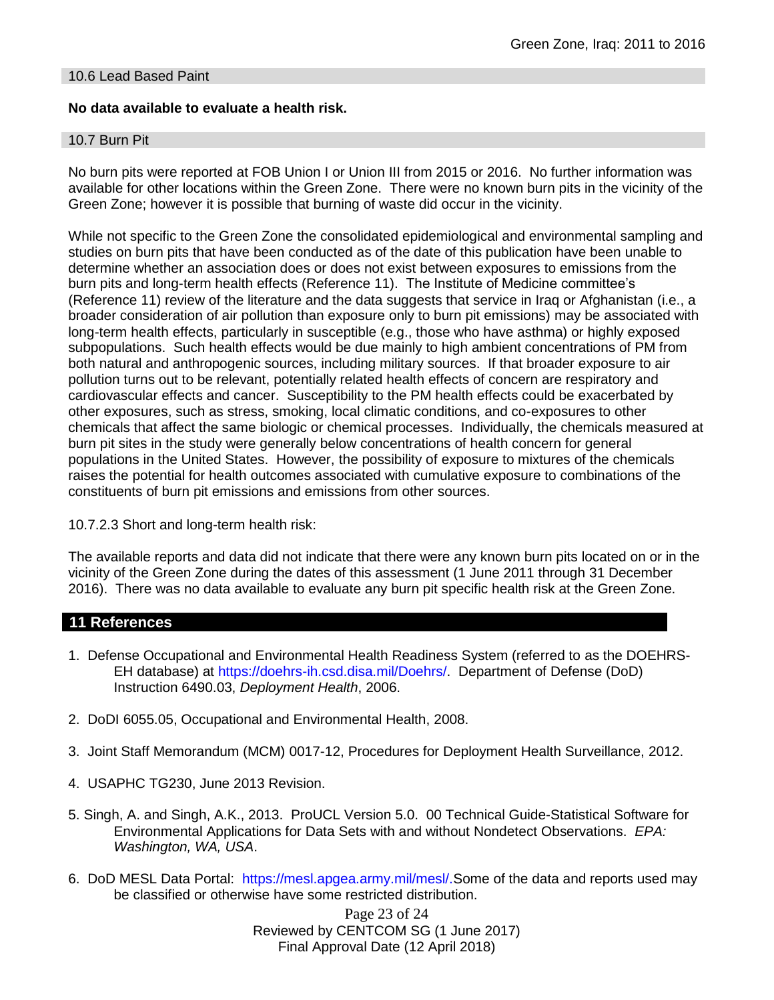## 10.6 Lead Based Paint

## **No data available to evaluate a health risk.**

### 10.7 Burn Pit

No burn pits were reported at FOB Union I or Union III from 2015 or 2016. No further information was available for other locations within the Green Zone. There were no known burn pits in the vicinity of the Green Zone; however it is possible that burning of waste did occur in the vicinity.

While not specific to the Green Zone the consolidated epidemiological and environmental sampling and studies on burn pits that have been conducted as of the date of this publication have been unable to determine whether an association does or does not exist between exposures to emissions from the burn pits and long-term health effects (Reference 11). The Institute of Medicine committee's (Reference 11) review of the literature and the data suggests that service in Iraq or Afghanistan (i.e., a broader consideration of air pollution than exposure only to burn pit emissions) may be associated with long-term health effects, particularly in susceptible (e.g., those who have asthma) or highly exposed subpopulations. Such health effects would be due mainly to high ambient concentrations of PM from both natural and anthropogenic sources, including military sources. If that broader exposure to air pollution turns out to be relevant, potentially related health effects of concern are respiratory and cardiovascular effects and cancer. Susceptibility to the PM health effects could be exacerbated by other exposures, such as stress, smoking, local climatic conditions, and co-exposures to other chemicals that affect the same biologic or chemical processes. Individually, the chemicals measured at burn pit sites in the study were generally below concentrations of health concern for general populations in the United States. However, the possibility of exposure to mixtures of the chemicals raises the potential for health outcomes associated with cumulative exposure to combinations of the constituents of burn pit emissions and emissions from other sources.

10.7.2.3 Short and long-term health risk:

The available reports and data did not indicate that there were any known burn pits located on or in the vicinity of the Green Zone during the dates of this assessment (1 June 2011 through 31 December 2016). There was no data available to evaluate any burn pit specific health risk at the Green Zone.

## **11 References**

- 1. Defense Occupational and Environmental Health Readiness System (referred to as the DOEHRS-EH database) at https://doehrs-ih.csd.disa.mil/Doehrs/. Department of Defense (DoD) Instruction 6490.03, *Deployment Health*, 2006.
- 2. DoDI 6055.05, Occupational and Environmental Health, 2008.
- 3. Joint Staff Memorandum (MCM) 0017-12, Procedures for Deployment Health Surveillance, 2012.
- 4. USAPHC TG230, June 2013 Revision.
- 5. Singh, A. and Singh, A.K., 2013. ProUCL Version 5.0. 00 Technical Guide-Statistical Software for Environmental Applications for Data Sets with and without Nondetect Observations. *EPA: Washington, WA, USA*.
- 6. DoD MESL Data Portal: https://mesl.apgea.army.mil/mesl/.Some of the data and reports used may be classified or otherwise have some restricted distribution.

Page 23 of 24 Reviewed by CENTCOM SG (1 June 2017) Final Approval Date (12 April 2018)